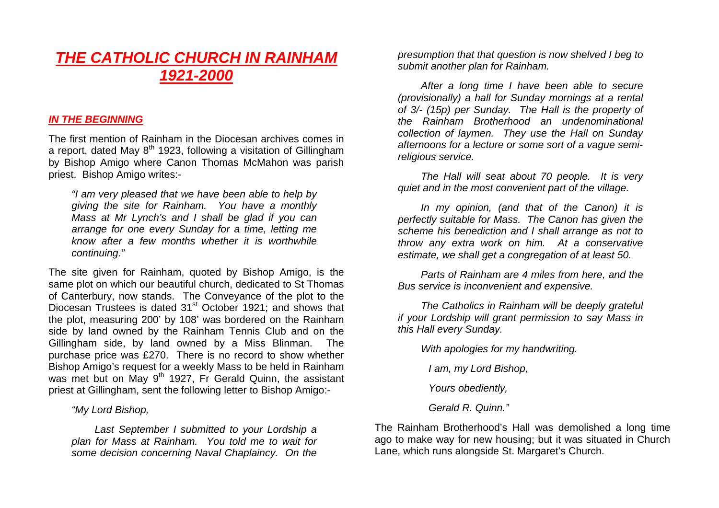# *THE CATHOLIC CHURCH IN RAINHAM 1921-2000*

## *IN THE BEGINNING*

The first mention of Rainham in the Diocesan archives comes in a report, dated May  $8<sup>th</sup>$  1923, following a visitation of Gillingham by Bishop Amigo where Canon Thomas McMahon was parish priest. Bishop Amigo writes:-

*"I am very pleased that we have been able to help by giving the site for Rainham. You have a monthly Mass at Mr Lynch's and I shall be glad if you can arrange for one every Sunday for a time, letting me know after a few months whether it is worthwhile continuing."* 

The site given for Rainham, quoted by Bishop Amigo, is the same plot on which our beautiful church, dedicated to St Thomas of Canterbury, now stands. The Conveyance of the plot to the Diocesan Trustees is dated 31<sup>st</sup> October 1921; and shows that the plot, measuring 200' by 108' was bordered on the Rainham side by land owned by the Rainham Tennis Club and on the Gillingham side, by land owned by a Miss Blinman. The purchase price was £270. There is no record to show whether Bishop Amigo's request for a weekly Mass to be held in Rainham was met but on May 9<sup>th</sup> 1927, Fr Gerald Quinn, the assistant priest at Gillingham, sent the following letter to Bishop Amigo:-

*"My Lord Bishop,* 

*Last September I submitted to your Lordship a plan for Mass at Rainham. You told me to wait for some decision concerning Naval Chaplaincy. On the* 

*presumption that that question is now shelved I beg to submit another plan for Rainham.* 

*After a long time I have been able to secure (provisionally) a hall for Sunday mornings at a rental of 3/- (15p) per Sunday. The Hall is the property of the Rainham Brotherhood an undenominational collection of laymen. They use the Hall on Sunday afternoons for a lecture or some sort of a vague semireligious service.* 

*The Hall will seat about 70 people. It is very quiet and in the most convenient part of the village.* 

*In my opinion, (and that of the Canon) it is perfectly suitable for Mass. The Canon has given the scheme his benediction and I shall arrange as not to throw any extra work on him. At a conservative estimate, we shall get a congregation of at least 50.* 

*Parts of Rainham are 4 miles from here, and the Bus service is inconvenient and expensive.* 

*The Catholics in Rainham will be deeply grateful if your Lordship will grant permission to say Mass in this Hall every Sunday.* 

*With apologies for my handwriting.* 

*I am, my Lord Bishop,* 

*Yours obediently,* 

*Gerald R. Quinn."*

The Rainham Brotherhood's Hall was demolished a long time ago to make way for new housing; but it was situated in Church Lane, which runs alongside St. Margaret's Church.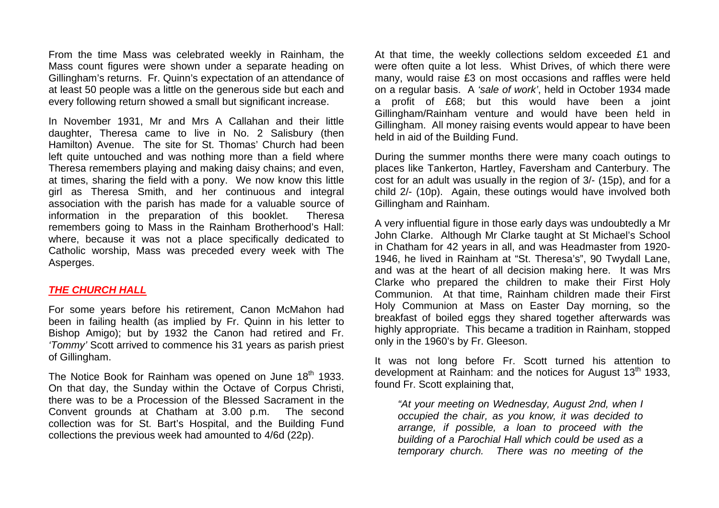From the time Mass was celebrated weekly in Rainham, the Mass count figures were shown under a separate heading on Gillingham's returns. Fr. Quinn's expectation of an attendance of at least 50 people was a little on the generous side but each and every following return showed a small but significant increase.

In November 1931, Mr and Mrs A Callahan and their little daughter, Theresa came to live in No. 2 Salisbury (then Hamilton) Avenue. The site for St. Thomas' Church had been left quite untouched and was nothing more than a field where Theresa remembers playing and making daisy chains; and even, at times, sharing the field with a pony. We now know this little girl as Theresa Smith, and her continuous and integral association with the parish has made for a valuable source of information in the preparation of this booklet. Theresa remembers going to Mass in the Rainham Brotherhood's Hall: where, because it was not a place specifically dedicated to Catholic worship, Mass was preceded every week with The Asperges.

#### *THE CHURCH HALL*

For some years before his retirement, Canon McMahon had been in failing health (as implied by Fr. Quinn in his letter to Bishop Amigo); but by 1932 the Canon had retired and Fr. *'Tommy'* Scott arrived to commence his 31 years as parish priest of Gillingham.

The Notice Book for Rainham was opened on June 18<sup>th</sup> 1933. On that day, the Sunday within the Octave of Corpus Christi, there was to be a Procession of the Blessed Sacrament in the Convent grounds at Chatham at 3.00 p.m. The second collection was for St. Bart's Hospital, and the Building Fund collections the previous week had amounted to 4/6d (22p).

At that time, the weekly collections seldom exceeded £1 and were often quite a lot less. Whist Drives, of which there were many, would raise £3 on most occasions and raffles were held on a regular basis. A *'sale of work'*, held in October 1934 made a profit of £68; but this would have been a joint Gillingham/Rainham venture and would have been held in Gillingham. All money raising events would appear to have been held in aid of the Building Fund.

During the summer months there were many coach outings to places like Tankerton, Hartley, Faversham and Canterbury. The cost for an adult was usually in the region of 3/- (15p), and for a child 2/- (10p). Again, these outings would have involved both Gillingham and Rainham.

A very influential figure in those early days was undoubtedly a Mr John Clarke. Although Mr Clarke taught at St Michael's School in Chatham for 42 years in all, and was Headmaster from 1920- 1946, he lived in Rainham at "St. Theresa's", 90 Twydall Lane, and was at the heart of all decision making here. It was Mrs Clarke who prepared the children to make their First Holy Communion. At that time, Rainham children made their First Holy Communion at Mass on Easter Day morning, so the breakfast of boiled eggs they shared together afterwards was highly appropriate. This became a tradition in Rainham, stopped only in the 1960's by Fr. Gleeson.

It was not long before Fr. Scott turned his attention to development at Rainham: and the notices for August  $13<sup>th</sup>$  1933, found Fr. Scott explaining that,

*"At your meeting on Wednesday, August 2nd, when I occupied the chair, as you know, it was decided to arrange, if possible, a loan to proceed with the building of a Parochial Hall which could be used as a temporary church. There was no meeting of the*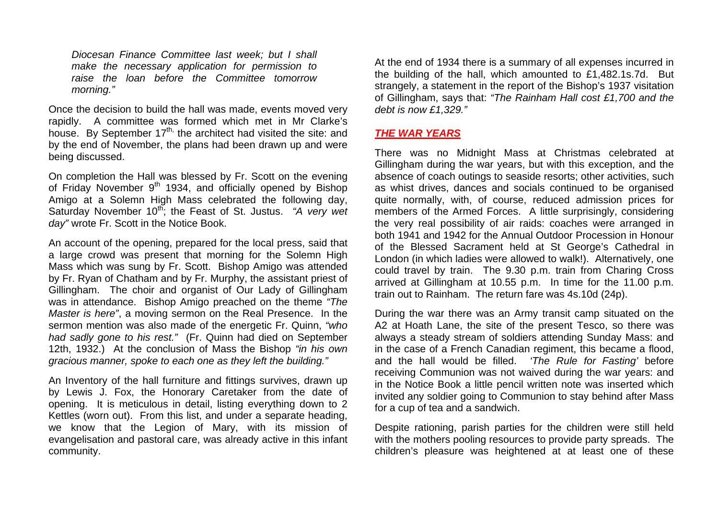*Diocesan Finance Committee last week; but I shall make the necessary application for permission to raise the loan before the Committee tomorrow morning."*

Once the decision to build the hall was made, events moved very rapidly. A committee was formed which met in Mr Clarke's house. By September  $17<sup>th</sup>$ , the architect had visited the site: and by the end of November, the plans had been drawn up and were being discussed.

On completion the Hall was blessed by Fr. Scott on the evening of Friday November  $9<sup>th</sup>$  1934, and officially opened by Bishop Amigo at a Solemn High Mass celebrated the following day, Saturday November 10<sup>th</sup>; the Feast of St. Justus. "A very wet *day"* wrote Fr. Scott in the Notice Book.

An account of the opening, prepared for the local press, said that a large crowd was present that morning for the Solemn High Mass which was sung by Fr. Scott. Bishop Amigo was attended by Fr. Ryan of Chatham and by Fr. Murphy, the assistant priest of Gillingham. The choir and organist of Our Lady of Gillingham was in attendance. Bishop Amigo preached on the theme *"The Master is here"*, a moving sermon on the Real Presence. In the sermon mention was also made of the energetic Fr. Quinn, *"who had sadly gone to his rest."* (Fr. Quinn had died on September 12th, 1932.) At the conclusion of Mass the Bishop *"in his own gracious manner, spoke to each one as they left the building."*

An Inventory of the hall furniture and fittings survives, drawn up by Lewis J. Fox, the Honorary Caretaker from the date of opening. It is meticulous in detail, listing everything down to 2 Kettles (worn out). From this list, and under a separate heading, we know that the Legion of Mary, with its mission of evangelisation and pastoral care, was already active in this infant community.

At the end of 1934 there is a summary of all expenses incurred in the building of the hall, which amounted to £1,482.1s.7d. But strangely, a statement in the report of the Bishop's 1937 visitation of Gillingham, says that: *"The Rainham Hall cost £1,700 and the debt is now £1,329."* 

## *THE WAR YEARS*

There was no Midnight Mass at Christmas celebrated at Gillingham during the war years, but with this exception, and the absence of coach outings to seaside resorts; other activities, such as whist drives, dances and socials continued to be organised quite normally, with, of course, reduced admission prices for members of the Armed Forces. A little surprisingly, considering the very real possibility of air raids: coaches were arranged in both 1941 and 1942 for the Annual Outdoor Procession in Honour of the Blessed Sacrament held at St George's Cathedral in London (in which ladies were allowed to walk!). Alternatively, one could travel by train. The 9.30 p.m. train from Charing Cross arrived at Gillingham at 10.55 p.m. In time for the 11.00 p.m. train out to Rainham. The return fare was 4s.10d (24p).

During the war there was an Army transit camp situated on the A2 at Hoath Lane, the site of the present Tesco, so there was always a steady stream of soldiers attending Sunday Mass: and in the case of a French Canadian regiment, this became a flood, and the hall would be filled. *'The Rule for Fasting'* before receiving Communion was not waived during the war years: and in the Notice Book a little pencil written note was inserted which invited any soldier going to Communion to stay behind after Mass for a cup of tea and a sandwich.

Despite rationing, parish parties for the children were still held with the mothers pooling resources to provide party spreads. The children's pleasure was heightened at at least one of these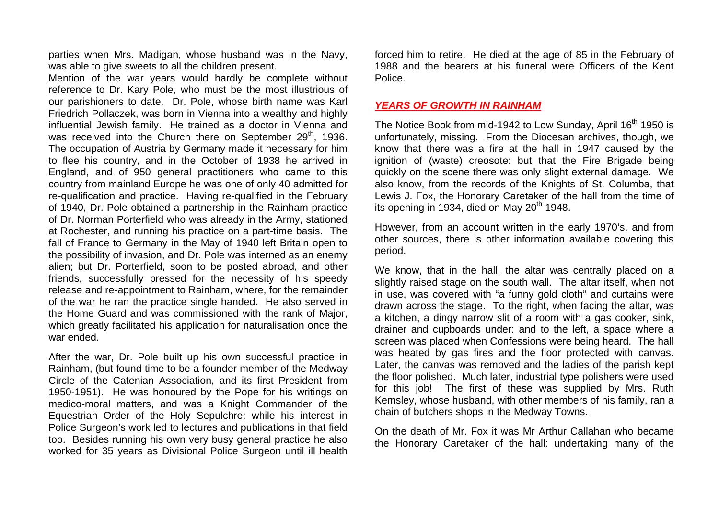parties when Mrs. Madigan, whose husband was in the Navy, was able to give sweets to all the children present.

Mention of the war years would hardly be complete without reference to Dr. Kary Pole, who must be the most illustrious of our parishioners to date. Dr. Pole, whose birth name was Karl Friedrich Pollaczek, was born in Vienna into a wealthy and highly influential Jewish family. He trained as a doctor in Vienna and was received into the Church there on September  $29<sup>th</sup>$ , 1936. The occupation of Austria by Germany made it necessary for him to flee his country, and in the October of 1938 he arrived in England, and of 950 general practitioners who came to this country from mainland Europe he was one of only 40 admitted for re-qualification and practice. Having re-qualified in the February of 1940, Dr. Pole obtained a partnership in the Rainham practice of Dr. Norman Porterfield who was already in the Army, stationed at Rochester, and running his practice on a part-time basis. The fall of France to Germany in the May of 1940 left Britain open to the possibility of invasion, and Dr. Pole was interned as an enemy alien; but Dr. Porterfield, soon to be posted abroad, and other friends, successfully pressed for the necessity of his speedy release and re-appointment to Rainham, where, for the remainder of the war he ran the practice single handed. He also served in the Home Guard and was commissioned with the rank of Major, which greatly facilitated his application for naturalisation once the war ended.

After the war, Dr. Pole built up his own successful practice in Rainham, (but found time to be a founder member of the Medway Circle of the Catenian Association, and its first President from 1950-1951). He was honoured by the Pope for his writings on medico-moral matters, and was a Knight Commander of the Equestrian Order of the Holy Sepulchre: while his interest in Police Surgeon's work led to lectures and publications in that field too. Besides running his own very busy general practice he also worked for 35 years as Divisional Police Surgeon until ill health forced him to retire. He died at the age of 85 in the February of 1988 and the bearers at his funeral were Officers of the Kent Police.

#### *YEARS OF GROWTH IN RAINHAM*

The Notice Book from mid-1942 to Low Sunday, April 16<sup>th</sup> 1950 is unfortunately, missing. From the Diocesan archives, though, we know that there was a fire at the hall in 1947 caused by the ignition of (waste) creosote: but that the Fire Brigade being quickly on the scene there was only slight external damage. We also know, from the records of the Knights of St. Columba, that Lewis J. Fox, the Honorary Caretaker of the hall from the time of its opening in 1934, died on May  $20<sup>th</sup>$  1948.

However, from an account written in the early 1970's, and from other sources, there is other information available covering this period.

We know, that in the hall, the altar was centrally placed on a slightly raised stage on the south wall. The altar itself, when not in use, was covered with "a funny gold cloth" and curtains were drawn across the stage. To the right, when facing the altar, was a kitchen, a dingy narrow slit of a room with a gas cooker, sink, drainer and cupboards under: and to the left, a space where a screen was placed when Confessions were being heard. The hall was heated by gas fires and the floor protected with canvas. Later, the canvas was removed and the ladies of the parish kept the floor polished. Much later, industrial type polishers were used for this job! The first of these was supplied by Mrs. Ruth Kemsley, whose husband, with other members of his family, ran a chain of butchers shops in the Medway Towns.

On the death of Mr. Fox it was Mr Arthur Callahan who became the Honorary Caretaker of the hall: undertaking many of the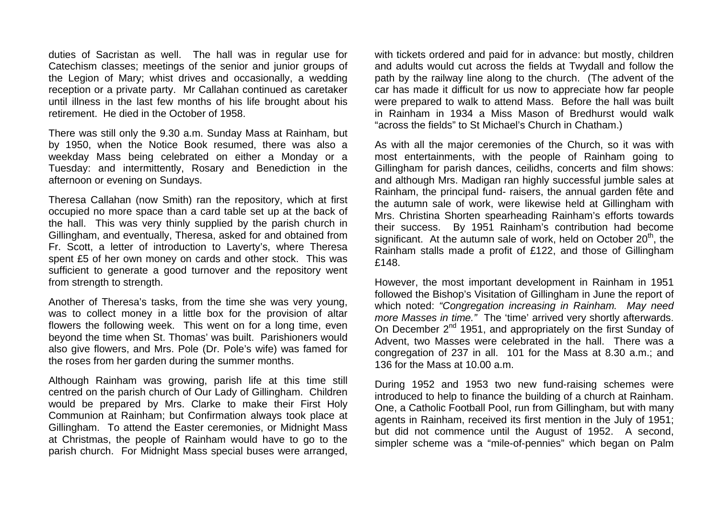duties of Sacristan as well. The hall was in regular use for Catechism classes; meetings of the senior and junior groups of the Legion of Mary; whist drives and occasionally, a wedding reception or a private party. Mr Callahan continued as caretaker until illness in the last few months of his life brought about his retirement. He died in the October of 1958.

There was still only the 9.30 a.m. Sunday Mass at Rainham, but by 1950, when the Notice Book resumed, there was also a weekday Mass being celebrated on either a Monday or a Tuesday: and intermittently, Rosary and Benediction in the afternoon or evening on Sundays.

Theresa Callahan (now Smith) ran the repository, which at first occupied no more space than a card table set up at the back of the hall. This was very thinly supplied by the parish church in Gillingham, and eventually, Theresa, asked for and obtained from Fr. Scott, a letter of introduction to Laverty's, where Theresa spent £5 of her own money on cards and other stock. This was sufficient to generate a good turnover and the repository went from strength to strength.

Another of Theresa's tasks, from the time she was very young, was to collect money in a little box for the provision of altar flowers the following week. This went on for a long time, even beyond the time when St. Thomas' was built. Parishioners would also give flowers, and Mrs. Pole (Dr. Pole's wife) was famed for the roses from her garden during the summer months.

Although Rainham was growing, parish life at this time still centred on the parish church of Our Lady of Gillingham. Children would be prepared by Mrs. Clarke to make their First Holy Communion at Rainham; but Confirmation always took place at Gillingham. To attend the Easter ceremonies, or Midnight Mass at Christmas, the people of Rainham would have to go to the parish church. For Midnight Mass special buses were arranged,

with tickets ordered and paid for in advance: but mostly, children and adults would cut across the fields at Twydall and follow the path by the railway line along to the church. (The advent of the car has made it difficult for us now to appreciate how far people were prepared to walk to attend Mass. Before the hall was built in Rainham in 1934 a Miss Mason of Bredhurst would walk "across the fields" to St Michael's Church in Chatham.)

As with all the major ceremonies of the Church, so it was with most entertainments, with the people of Rainham going to Gillingham for parish dances, ceilidhs, concerts and film shows: and although Mrs. Madigan ran highly successful jumble sales at Rainham, the principal fund- raisers, the annual garden fête and the autumn sale of work, were likewise held at Gillingham with Mrs. Christina Shorten spearheading Rainham's efforts towards their success. By 1951 Rainham's contribution had become significant. At the autumn sale of work, held on October  $20<sup>th</sup>$ , the Rainham stalls made a profit of £122, and those of Gillingham £148.

However, the most important development in Rainham in 1951 followed the Bishop's Visitation of Gillingham in June the report of which noted: *"Congregation increasing in Rainham. May need more Masses in time."* The 'time' arrived very shortly afterwards. On December 2<sup>nd</sup> 1951, and appropriately on the first Sunday of Advent, two Masses were celebrated in the hall. There was a congregation of 237 in all. 101 for the Mass at 8.30 a.m.; and 136 for the Mass at 10.00 a.m.

During 1952 and 1953 two new fund-raising schemes were introduced to help to finance the building of a church at Rainham. One, a Catholic Football Pool, run from Gillingham, but with many agents in Rainham, received its first mention in the July of 1951; but did not commence until the August of 1952. A second, simpler scheme was a "mile-of-pennies" which began on Palm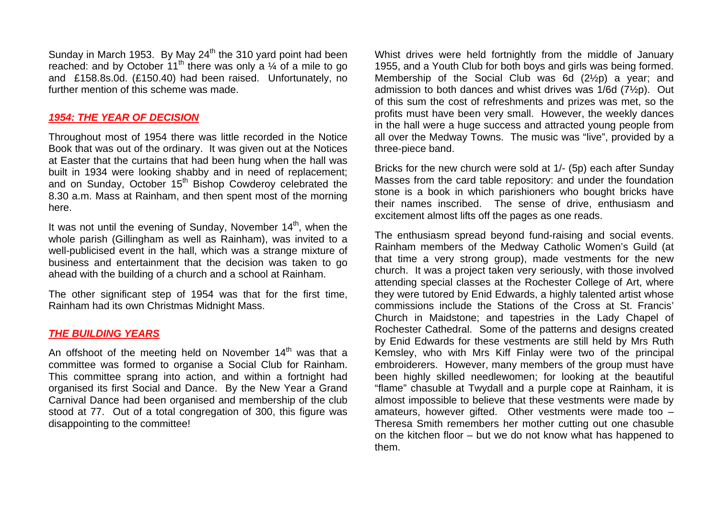Sunday in March 1953. By May  $24<sup>th</sup>$  the 310 yard point had been reached: and by October 11<sup>th</sup> there was only a  $\frac{1}{4}$  of a mile to go and £158.8s.0d. (£150.40) had been raised. Unfortunately, no further mention of this scheme was made.

## *1954: THE YEAR OF DECISION*

Throughout most of 1954 there was little recorded in the Notice Book that was out of the ordinary. It was given out at the Notices at Easter that the curtains that had been hung when the hall was built in 1934 were looking shabby and in need of replacement; and on Sunday, October 15<sup>th</sup> Bishop Cowderoy celebrated the 8.30 a.m. Mass at Rainham, and then spent most of the morning here.

It was not until the evening of Sunday, November  $14<sup>th</sup>$ , when the whole parish (Gillingham as well as Rainham), was invited to a well-publicised event in the hall, which was a strange mixture of business and entertainment that the decision was taken to go ahead with the building of a church and a school at Rainham.

The other significant step of 1954 was that for the first time, Rainham had its own Christmas Midnight Mass.

#### *THE BUILDING YEARS*

An offshoot of the meeting held on November  $14<sup>th</sup>$  was that a committee was formed to organise a Social Club for Rainham. This committee sprang into action, and within a fortnight had organised its first Social and Dance. By the New Year a Grand Carnival Dance had been organised and membership of the club stood at 77. Out of a total congregation of 300, this figure was disappointing to the committee!

Whist drives were held fortnightly from the middle of January 1955, and a Youth Club for both boys and girls was being formed. Membership of the Social Club was 6d (2½p) a year; and admission to both dances and whist drives was 1/6d (7½p). Out of this sum the cost of refreshments and prizes was met, so the profits must have been very small. However, the weekly dances in the hall were a huge success and attracted young people from all over the Medway Towns. The music was "live", provided by a three-piece band.

Bricks for the new church were sold at 1/- (5p) each after Sunday Masses from the card table repository: and under the foundation stone is a book in which parishioners who bought bricks have their names inscribed. The sense of drive, enthusiasm and excitement almost lifts off the pages as one reads.

The enthusiasm spread beyond fund-raising and social events. Rainham members of the Medway Catholic Women's Guild (at that time a very strong group), made vestments for the new church. It was a project taken very seriously, with those involved attending special classes at the Rochester College of Art, where they were tutored by Enid Edwards, a highly talented artist whose commissions include the Stations of the Cross at St. Francis' Church in Maidstone; and tapestries in the Lady Chapel of Rochester Cathedral. Some of the patterns and designs created by Enid Edwards for these vestments are still held by Mrs Ruth Kemsley, who with Mrs Kiff Finlay were two of the principal embroiderers. However, many members of the group must have been highly skilled needlewomen; for looking at the beautiful "flame" chasuble at Twydall and a purple cope at Rainham, it is almost impossible to believe that these vestments were made by amateurs, however gifted. Other vestments were made too – Theresa Smith remembers her mother cutting out one chasuble on the kitchen floor – but we do not know what has happened to them.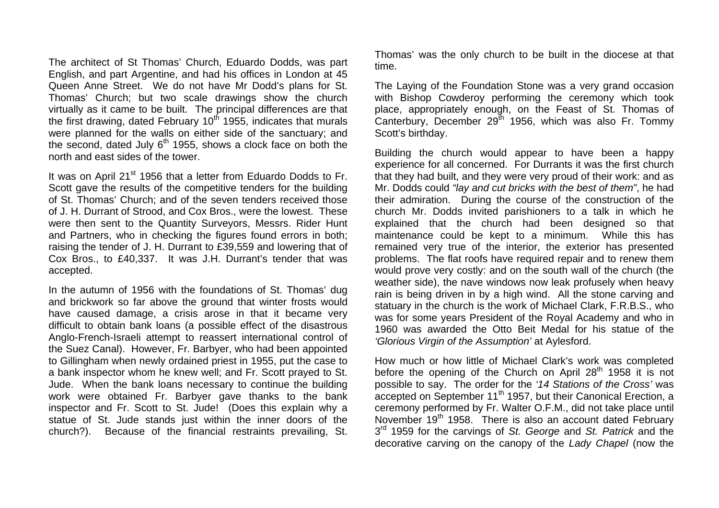The architect of St Thomas' Church, Eduardo Dodds, was part English, and part Argentine, and had his offices in London at 45 Queen Anne Street. We do not have Mr Dodd's plans for St. Thomas' Church; but two scale drawings show the church virtually as it came to be built. The principal differences are that the first drawing, dated February  $10<sup>th</sup>$  1955, indicates that murals were planned for the walls on either side of the sanctuary; and the second, dated July  $6<sup>th</sup>$  1955, shows a clock face on both the north and east sides of the tower.

It was on April 21<sup>st</sup> 1956 that a letter from Eduardo Dodds to Fr. Scott gave the results of the competitive tenders for the building of St. Thomas' Church; and of the seven tenders received those of J. H. Durrant of Strood, and Cox Bros., were the lowest. These were then sent to the Quantity Surveyors, Messrs. Rider Hunt and Partners, who in checking the figures found errors in both; raising the tender of J. H. Durrant to £39,559 and lowering that of Cox Bros., to £40,337. It was J.H. Durrant's tender that was accepted.

In the autumn of 1956 with the foundations of St. Thomas' dug and brickwork so far above the ground that winter frosts would have caused damage, a crisis arose in that it became very difficult to obtain bank loans (a possible effect of the disastrous Anglo-French-Israeli attempt to reassert international control of the Suez Canal). However, Fr. Barbyer, who had been appointed to Gillingham when newly ordained priest in 1955, put the case to a bank inspector whom he knew well; and Fr. Scott prayed to St. Jude. When the bank loans necessary to continue the building work were obtained Fr. Barbyer gave thanks to the bank inspector and Fr. Scott to St. Jude! (Does this explain why a statue of St. Jude stands just within the inner doors of the church?). Because of the financial restraints prevailing, St.

Thomas' was the only church to be built in the diocese at that time.

The Laying of the Foundation Stone was a very grand occasion with Bishop Cowderoy performing the ceremony which took place, appropriately enough, on the Feast of St. Thomas of Canterbury, December  $29<sup>th</sup>$  1956, which was also Fr. Tommy Scott's birthday.

Building the church would appear to have been a happy experience for all concerned. For Durrants it was the first church that they had built, and they were very proud of their work: and as Mr. Dodds could *"lay and cut bricks with the best of them"*, he had their admiration. During the course of the construction of the church Mr. Dodds invited parishioners to a talk in which he explained that the church had been designed so that maintenance could be kept to a minimum. While this has remained very true of the interior, the exterior has presented problems. The flat roofs have required repair and to renew them would prove very costly: and on the south wall of the church (the weather side), the nave windows now leak profusely when heavy rain is being driven in by a high wind. All the stone carving and statuary in the church is the work of Michael Clark, F.R.B.S., who was for some years President of the Royal Academy and who in 1960 was awarded the Otto Beit Medal for his statue of the *'Glorious Virgin of the Assumption'* at Aylesford.

How much or how little of Michael Clark's work was completed before the opening of the Church on April  $28<sup>th</sup>$  1958 it is not possible to say. The order for the *'14 Stations of the Cross'* was accepted on September 11<sup>th</sup> 1957, but their Canonical Erection, a ceremony performed by Fr. Walter O.F.M., did not take place until November 19<sup>th</sup> 1958. There is also an account dated February <sup>3</sup>rd 1959 for the carvings of *St. George* and *St. Patrick* and the decorative carving on the canopy of the *Lady Chapel* (now the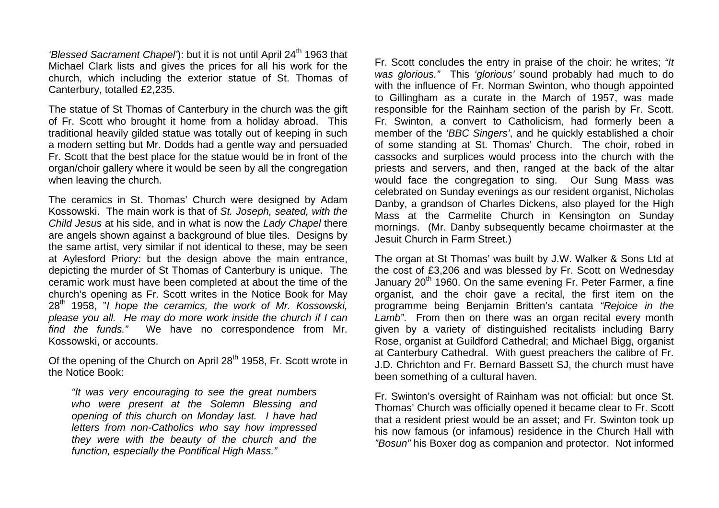*'Blessed Sacrament Chapel'*): but it is not until April 24<sup>th</sup> 1963 that Michael Clark lists and gives the prices for all his work for the church, which including the exterior statue of St. Thomas of Canterbury, totalled £2,235.

The statue of St Thomas of Canterbury in the church was the gift of Fr. Scott who brought it home from a holiday abroad. This traditional heavily gilded statue was totally out of keeping in such a modern setting but Mr. Dodds had a gentle way and persuaded Fr. Scott that the best place for the statue would be in front of the organ/choir gallery where it would be seen by all the congregation when leaving the church.

The ceramics in St. Thomas' Church were designed by Adam Kossowski. The main work is that of *St. Joseph, seated, with the Child Jesus* at his side, and in what is now the *Lady Chapel* there are angels shown against a background of blue tiles. Designs by the same artist, very similar if not identical to these, may be seen at Aylesford Priory: but the design above the main entrance, depicting the murder of St Thomas of Canterbury is unique. The ceramic work must have been completed at about the time of the church's opening as Fr. Scott writes in the Notice Book for May <sup>28</sup>th 1958, "*I hope the ceramics, the work of Mr. Kossowski, please you all. He may do more work inside the church if I can find the funds."* We have no correspondence from Mr. Kossowski, or accounts.

Of the opening of the Church on April 28<sup>th</sup> 1958, Fr. Scott wrote in the Notice Book:

*"It was very encouraging to see the great numbers who were present at the Solemn Blessing and opening of this church on Monday last. I have had letters from non-Catholics who say how impressed they were with the beauty of the church and the function, especially the Pontifical High Mass."* 

Fr. Scott concludes the entry in praise of the choir: he writes; *"It was glorious."* This *'glorious'* sound probably had much to do with the influence of Fr. Norman Swinton, who though appointed to Gillingham as a curate in the March of 1957, was made responsible for the Rainham section of the parish by Fr. Scott. Fr. Swinton, a convert to Catholicism, had formerly been a member of the *'BBC Singers'*, and he quickly established a choir of some standing at St. Thomas' Church. The choir, robed in cassocks and surplices would process into the church with the priests and servers, and then, ranged at the back of the altar would face the congregation to sing. Our Sung Mass was celebrated on Sunday evenings as our resident organist, Nicholas Danby, a grandson of Charles Dickens, also played for the High Mass at the Carmelite Church in Kensington on Sunday mornings. (Mr. Danby subsequently became choirmaster at the Jesuit Church in Farm Street.)

The organ at St Thomas' was built by J.W. Walker & Sons Ltd at the cost of £3,206 and was blessed by Fr. Scott on Wednesday January 20<sup>th</sup> 1960. On the same evening Fr. Peter Farmer, a fine organist, and the choir gave a recital, the first item on the programme being Benjamin Britten's cantata *"Rejoice in the Lamb"*. From then on there was an organ recital every month given by a variety of distinguished recitalists including Barry Rose, organist at Guildford Cathedral; and Michael Bigg, organist at Canterbury Cathedral. With guest preachers the calibre of Fr. J.D. Chrichton and Fr. Bernard Bassett SJ, the church must have been something of a cultural haven.

Fr. Swinton's oversight of Rainham was not official: but once St. Thomas' Church was officially opened it became clear to Fr. Scott that a resident priest would be an asset; and Fr. Swinton took up his now famous (or infamous) residence in the Church Hall with *"Bosun"* his Boxer dog as companion and protector. Not informed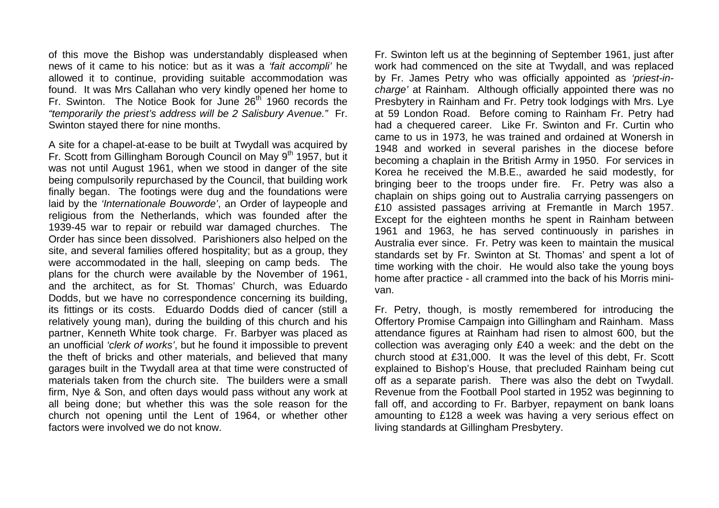of this move the Bishop was understandably displeased when news of it came to his notice: but as it was a *'fait accompli'* he allowed it to continue, providing suitable accommodation was found. It was Mrs Callahan who very kindly opened her home to Fr. Swinton. The Notice Book for June 26<sup>th</sup> 1960 records the *"temporarily the priest's address will be 2 Salisbury Avenue."* Fr. Swinton stayed there for nine months.

A site for a chapel-at-ease to be built at Twydall was acquired by Fr. Scott from Gillingham Borough Council on May 9<sup>th</sup> 1957, but it was not until August 1961, when we stood in danger of the site being compulsorily repurchased by the Council, that building work finally began. The footings were dug and the foundations were laid by the *'Internationale Bouworde'*, an Order of laypeople and religious from the Netherlands, which was founded after the 1939-45 war to repair or rebuild war damaged churches. The Order has since been dissolved. Parishioners also helped on the site, and several families offered hospitality; but as a group, they were accommodated in the hall, sleeping on camp beds. The plans for the church were available by the November of 1961, and the architect, as for St. Thomas' Church, was Eduardo Dodds, but we have no correspondence concerning its building, its fittings or its costs. Eduardo Dodds died of cancer (still a relatively young man), during the building of this church and his partner, Kenneth White took charge. Fr. Barbyer was placed as an unofficial *'clerk of works'*, but he found it impossible to prevent the theft of bricks and other materials, and believed that many garages built in the Twydall area at that time were constructed of materials taken from the church site. The builders were a small firm, Nye & Son, and often days would pass without any work at all being done; but whether this was the sole reason for the church not opening until the Lent of 1964, or whether other factors were involved we do not know.

Fr. Swinton left us at the beginning of September 1961, just after work had commenced on the site at Twydall, and was replaced by Fr. James Petry who was officially appointed as *'priest-incharge'* at Rainham. Although officially appointed there was no Presbytery in Rainham and Fr. Petry took lodgings with Mrs. Lye at 59 London Road. Before coming to Rainham Fr. Petry had had a chequered career. Like Fr. Swinton and Fr. Curtin who came to us in 1973, he was trained and ordained at Wonersh in 1948 and worked in several parishes in the diocese before becoming a chaplain in the British Army in 1950. For services in Korea he received the M.B.E., awarded he said modestly, for bringing beer to the troops under fire. Fr. Petry was also a chaplain on ships going out to Australia carrying passengers on £10 assisted passages arriving at Fremantle in March 1957. Except for the eighteen months he spent in Rainham between 1961 and 1963, he has served continuously in parishes in Australia ever since. Fr. Petry was keen to maintain the musical standards set by Fr. Swinton at St. Thomas' and spent a lot of time working with the choir. He would also take the young boys home after practice - all crammed into the back of his Morris minivan.

Fr. Petry, though, is mostly remembered for introducing the Offertory Promise Campaign into Gillingham and Rainham. Mass attendance figures at Rainham had risen to almost 600, but the collection was averaging only £40 a week: and the debt on the church stood at £31,000. It was the level of this debt, Fr. Scott explained to Bishop's House, that precluded Rainham being cut off as a separate parish. There was also the debt on Twydall. Revenue from the Football Pool started in 1952 was beginning to fall off, and according to Fr. Barbyer, repayment on bank loans amounting to £128 a week was having a very serious effect on living standards at Gillingham Presbytery.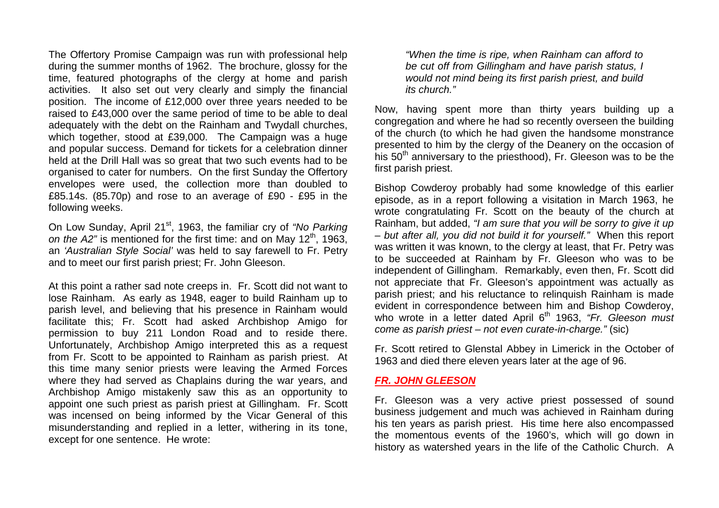The Offertory Promise Campaign was run with professional help during the summer months of 1962. The brochure, glossy for the time, featured photographs of the clergy at home and parish activities. It also set out very clearly and simply the financial position. The income of £12,000 over three years needed to be raised to £43,000 over the same period of time to be able to deal adequately with the debt on the Rainham and Twydall churches, which together, stood at £39,000. The Campaign was a huge and popular success. Demand for tickets for a celebration dinner held at the Drill Hall was so great that two such events had to be organised to cater for numbers. On the first Sunday the Offertory envelopes were used, the collection more than doubled to £85.14s. (85.70p) and rose to an average of £90 - £95 in the following weeks.

On Low Sunday, April 21<sup>st</sup>, 1963, the familiar cry of *"No Parking on the A2"* is mentioned for the first time: and on May 12<sup>th</sup>, 1963, an *'Australian Style Social'* was held to say farewell to Fr. Petry and to meet our first parish priest; Fr. John Gleeson.

At this point a rather sad note creeps in. Fr. Scott did not want to lose Rainham. As early as 1948, eager to build Rainham up to parish level, and believing that his presence in Rainham would facilitate this; Fr. Scott had asked Archbishop Amigo for permission to buy 211 London Road and to reside there. Unfortunately, Archbishop Amigo interpreted this as a request from Fr. Scott to be appointed to Rainham as parish priest. At this time many senior priests were leaving the Armed Forces where they had served as Chaplains during the war years, and Archbishop Amigo mistakenly saw this as an opportunity to appoint one such priest as parish priest at Gillingham. Fr. Scott was incensed on being informed by the Vicar General of this misunderstanding and replied in a letter, withering in its tone, except for one sentence. He wrote:

*"When the time is ripe, when Rainham can afford to be cut off from Gillingham and have parish status, I would not mind being its first parish priest, and build its church."* 

Now, having spent more than thirty years building up a congregation and where he had so recently overseen the building of the church (to which he had given the handsome monstrance presented to him by the clergy of the Deanery on the occasion of his 50<sup>th</sup> anniversary to the priesthood), Fr. Gleeson was to be the first parish priest.

Bishop Cowderoy probably had some knowledge of this earlier episode, as in a report following a visitation in March 1963, he wrote congratulating Fr. Scott on the beauty of the church at Rainham, but added, *"I am sure that you will be sorry to give it up – but after all, you did not build it for yourself."* When this report was written it was known, to the clergy at least, that Fr. Petry was to be succeeded at Rainham by Fr. Gleeson who was to be independent of Gillingham. Remarkably, even then, Fr. Scott did not appreciate that Fr. Gleeson's appointment was actually as parish priest; and his reluctance to relinquish Rainham is made evident in correspondence between him and Bishop Cowderoy, who wrote in a letter dated April 6<sup>th</sup> 1963, "Fr. Gleeson must *come as parish priest – not even curate-in-charge."* (sic)

Fr. Scott retired to Glenstal Abbey in Limerick in the October of 1963 and died there eleven years later at the age of 96.

#### *FR. JOHN GLEESON*

Fr. Gleeson was a very active priest possessed of sound business judgement and much was achieved in Rainham during his ten years as parish priest. His time here also encompassed the momentous events of the 1960's, which will go down in history as watershed years in the life of the Catholic Church. A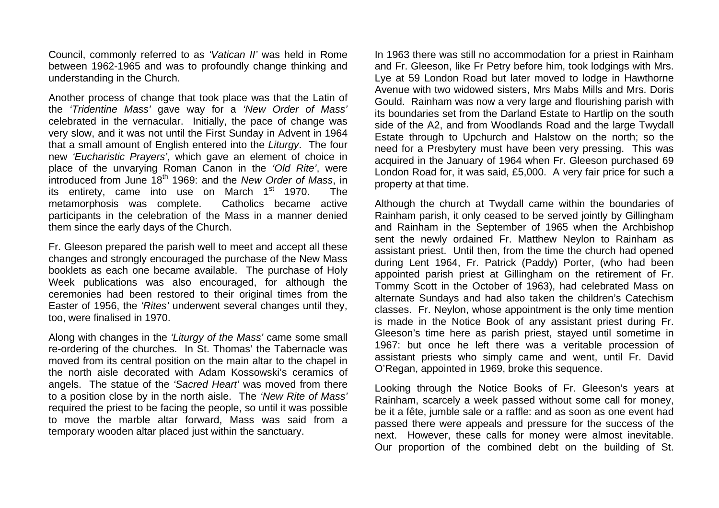Council, commonly referred to as *'Vatican II'* was held in Rome between 1962-1965 and was to profoundly change thinking and understanding in the Church.

Another process of change that took place was that the Latin of the *'Tridentine Mass'* gave way for a *'New Order of Mass'* celebrated in the vernacular. Initially, the pace of change was very slow, and it was not until the First Sunday in Advent in 1964 that a small amount of English entered into the *Liturgy*. The four new *'Eucharistic Prayers'*, which gave an element of choice in place of the unvarying Roman Canon in the *'Old Rite'*, were introduced from June 18th 1969: and the *New Order of Mass*, in its entirety, came into use on March  $1<sup>st</sup>$  1970. The metamorphosis was complete. Catholics became active participants in the celebration of the Mass in a manner denied them since the early days of the Church.

Fr. Gleeson prepared the parish well to meet and accept all these changes and strongly encouraged the purchase of the New Mass booklets as each one became available. The purchase of Holy Week publications was also encouraged, for although the ceremonies had been restored to their original times from the Easter of 1956, the *'Rites'* underwent several changes until they, too, were finalised in 1970.

Along with changes in the *'Liturgy of the Mass'* came some small re-ordering of the churches. In St. Thomas' the Tabernacle was moved from its central position on the main altar to the chapel in the north aisle decorated with Adam Kossowski's ceramics of angels. The statue of the *'Sacred Heart'* was moved from there to a position close by in the north aisle. The *'New Rite of Mass'* required the priest to be facing the people, so until it was possible to move the marble altar forward, Mass was said from a temporary wooden altar placed just within the sanctuary.

In 1963 there was still no accommodation for a priest in Rainham and Fr. Gleeson, like Fr Petry before him, took lodgings with Mrs. Lye at 59 London Road but later moved to lodge in Hawthorne Avenue with two widowed sisters, Mrs Mabs Mills and Mrs. Doris Gould. Rainham was now a very large and flourishing parish with its boundaries set from the Darland Estate to Hartlip on the south side of the A2, and from Woodlands Road and the large Twydall Estate through to Upchurch and Halstow on the north; so the need for a Presbytery must have been very pressing. This was acquired in the January of 1964 when Fr. Gleeson purchased 69 London Road for, it was said, £5,000. A very fair price for such a property at that time.

Although the church at Twydall came within the boundaries of Rainham parish, it only ceased to be served jointly by Gillingham and Rainham in the September of 1965 when the Archbishop sent the newly ordained Fr. Matthew Neylon to Rainham as assistant priest. Until then, from the time the church had opened during Lent 1964, Fr. Patrick (Paddy) Porter, (who had been appointed parish priest at Gillingham on the retirement of Fr. Tommy Scott in the October of 1963), had celebrated Mass on alternate Sundays and had also taken the children's Catechism classes. Fr. Neylon, whose appointment is the only time mention is made in the Notice Book of any assistant priest during Fr. Gleeson's time here as parish priest, stayed until sometime in 1967: but once he left there was a veritable procession of assistant priests who simply came and went, until Fr. David O'Regan, appointed in 1969, broke this sequence.

Looking through the Notice Books of Fr. Gleeson's years at Rainham, scarcely a week passed without some call for money, be it a fête, jumble sale or a raffle: and as soon as one event had passed there were appeals and pressure for the success of the next. However, these calls for money were almost inevitable. Our proportion of the combined debt on the building of St.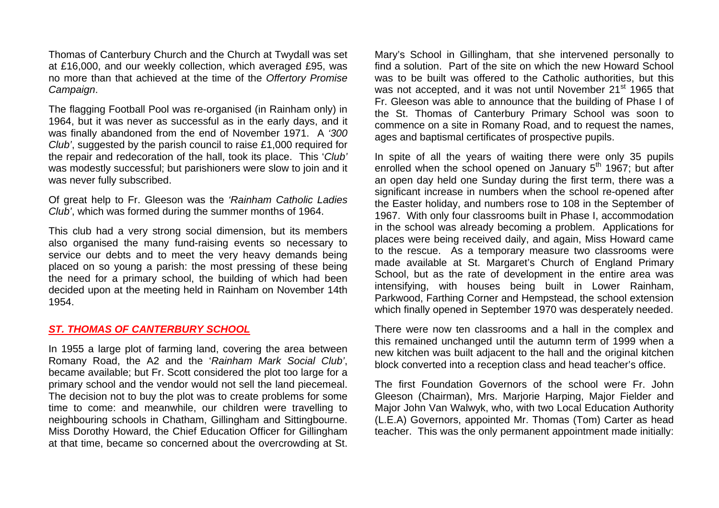Thomas of Canterbury Church and the Church at Twydall was set at £16,000, and our weekly collection, which averaged £95, was no more than that achieved at the time of the *Offertory Promise Campaign*.

The flagging Football Pool was re-organised (in Rainham only) in 1964, but it was never as successful as in the early days, and it was finally abandoned from the end of November 1971. A *'300 Club'*, suggested by the parish council to raise £1,000 required for the repair and redecoration of the hall, took its place. This '*Club'* was modestly successful; but parishioners were slow to join and it was never fully subscribed.

Of great help to Fr. Gleeson was the *'Rainham Catholic Ladies Club'*, which was formed during the summer months of 1964.

This club had a very strong social dimension, but its members also organised the many fund-raising events so necessary to service our debts and to meet the very heavy demands being placed on so young a parish: the most pressing of these being the need for a primary school, the building of which had been decided upon at the meeting held in Rainham on November 14th 1954.

## *ST. THOMAS OF CANTERBURY SCHOOL*

In 1955 a large plot of farming land, covering the area between Romany Road, the A2 and the '*Rainham Mark Social Club'*, became available; but Fr. Scott considered the plot too large for a primary school and the vendor would not sell the land piecemeal. The decision not to buy the plot was to create problems for some time to come: and meanwhile, our children were travelling to neighbouring schools in Chatham, Gillingham and Sittingbourne. Miss Dorothy Howard, the Chief Education Officer for Gillingham at that time, became so concerned about the overcrowding at St.

Mary's School in Gillingham, that she intervened personally to find a solution. Part of the site on which the new Howard School was to be built was offered to the Catholic authorities, but this was not accepted, and it was not until November 21<sup>st</sup> 1965 that Fr. Gleeson was able to announce that the building of Phase I of the St. Thomas of Canterbury Primary School was soon to commence on a site in Romany Road, and to request the names, ages and baptismal certificates of prospective pupils.

In spite of all the years of waiting there were only 35 pupils enrolled when the school opened on January 5<sup>th</sup> 1967; but after an open day held one Sunday during the first term, there was a significant increase in numbers when the school re-opened after the Easter holiday, and numbers rose to 108 in the September of 1967. With only four classrooms built in Phase I, accommodation in the school was already becoming a problem. Applications for places were being received daily, and again, Miss Howard came to the rescue. As a temporary measure two classrooms were made available at St. Margaret's Church of England Primary School, but as the rate of development in the entire area was intensifying, with houses being built in Lower Rainham, Parkwood, Farthing Corner and Hempstead, the school extension which finally opened in September 1970 was desperately needed.

There were now ten classrooms and a hall in the complex and this remained unchanged until the autumn term of 1999 when a new kitchen was built adjacent to the hall and the original kitchen block converted into a reception class and head teacher's office.

The first Foundation Governors of the school were Fr. John Gleeson (Chairman), Mrs. Marjorie Harping, Major Fielder and Major John Van Walwyk, who, with two Local Education Authority (L.E.A) Governors, appointed Mr. Thomas (Tom) Carter as head teacher. This was the only permanent appointment made initially: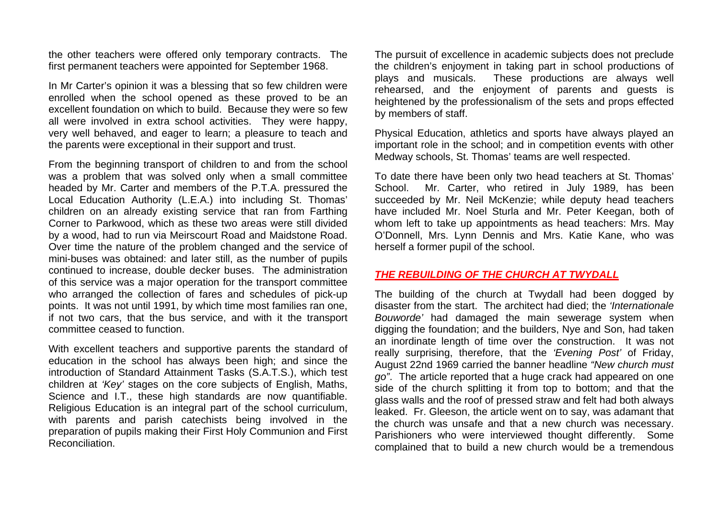the other teachers were offered only temporary contracts. The first permanent teachers were appointed for September 1968.

In Mr Carter's opinion it was a blessing that so few children were enrolled when the school opened as these proved to be an excellent foundation on which to build. Because they were so few all were involved in extra school activities. They were happy, very well behaved, and eager to learn; a pleasure to teach and the parents were exceptional in their support and trust.

From the beginning transport of children to and from the school was a problem that was solved only when a small committee headed by Mr. Carter and members of the P.T.A. pressured the Local Education Authority (L.E.A.) into including St. Thomas' children on an already existing service that ran from Farthing Corner to Parkwood, which as these two areas were still divided by a wood, had to run via Meirscourt Road and Maidstone Road. Over time the nature of the problem changed and the service of mini-buses was obtained: and later still, as the number of pupils continued to increase, double decker buses. The administration of this service was a major operation for the transport committee who arranged the collection of fares and schedules of pick-up points. It was not until 1991, by which time most families ran one, if not two cars, that the bus service, and with it the transport committee ceased to function.

With excellent teachers and supportive parents the standard of education in the school has always been high; and since the introduction of Standard Attainment Tasks (S.A.T.S.), which test children at *'Key'* stages on the core subjects of English, Maths, Science and I.T., these high standards are now quantifiable. Religious Education is an integral part of the school curriculum, with parents and parish catechists being involved in the preparation of pupils making their First Holy Communion and First Reconciliation.

The pursuit of excellence in academic subjects does not preclude the children's enjoyment in taking part in school productions of plays and musicals. These productions are always well rehearsed, and the enjoyment of parents and guests is heightened by the professionalism of the sets and props effected by members of staff.

Physical Education, athletics and sports have always played an important role in the school; and in competition events with other Medway schools, St. Thomas' teams are well respected.

To date there have been only two head teachers at St. Thomas' School. Mr. Carter, who retired in July 1989, has been succeeded by Mr. Neil McKenzie; while deputy head teachers have included Mr. Noel Sturla and Mr. Peter Keegan, both of whom left to take up appointments as head teachers: Mrs. May O'Donnell, Mrs. Lynn Dennis and Mrs. Katie Kane, who was herself a former pupil of the school.

#### *THE REBUILDING OF THE CHURCH AT TWYDALL*

The building of the church at Twydall had been dogged by disaster from the start. The architect had died; the *'Internationale Bouworde'* had damaged the main sewerage system when digging the foundation; and the builders, Nye and Son, had taken an inordinate length of time over the construction. It was not really surprising, therefore, that the *'Evening Post'* of Friday, August 22nd 1969 carried the banner headline *"New church must go"*. The article reported that a huge crack had appeared on one side of the church splitting it from top to bottom; and that the glass walls and the roof of pressed straw and felt had both always leaked. Fr. Gleeson, the article went on to say, was adamant that the church was unsafe and that a new church was necessary. Parishioners who were interviewed thought differently. Some complained that to build a new church would be a tremendous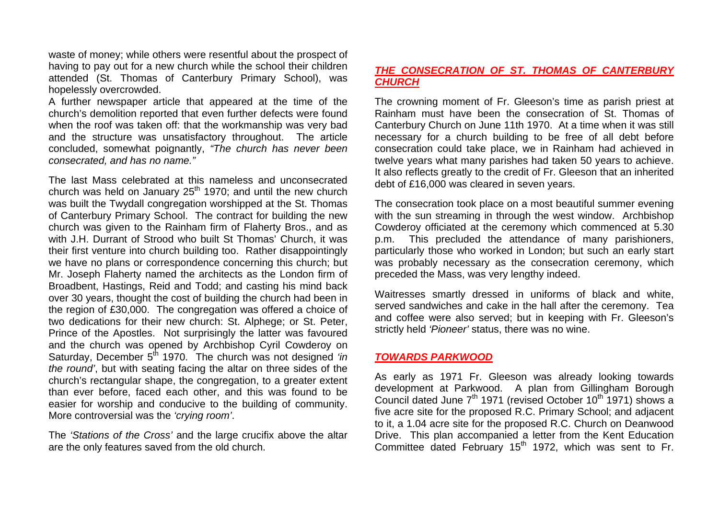waste of money; while others were resentful about the prospect of having to pay out for a new church while the school their children attended (St. Thomas of Canterbury Primary School), was hopelessly overcrowded.

A further newspaper article that appeared at the time of the church's demolition reported that even further defects were found when the roof was taken off: that the workmanship was very bad and the structure was unsatisfactory throughout. The article concluded, somewhat poignantly, *"The church has never been consecrated, and has no name."*

The last Mass celebrated at this nameless and unconsecrated church was held on January  $25<sup>th</sup>$  1970; and until the new church was built the Twydall congregation worshipped at the St. Thomas of Canterbury Primary School. The contract for building the new church was given to the Rainham firm of Flaherty Bros., and as with J.H. Durrant of Strood who built St Thomas' Church, it was their first venture into church building too. Rather disappointingly we have no plans or correspondence concerning this church; but Mr. Joseph Flaherty named the architects as the London firm of Broadbent, Hastings, Reid and Todd; and casting his mind back over 30 years, thought the cost of building the church had been in the region of £30,000. The congregation was offered a choice of two dedications for their new church: St. Alphege; or St. Peter, Prince of the Apostles. Not surprisingly the latter was favoured and the church was opened by Archbishop Cyril Cowderoy on Saturday, December 5<sup>th</sup> 1970. The church was not designed 'in *the round'*, but with seating facing the altar on three sides of the church's rectangular shape, the congregation, to a greater extent than ever before, faced each other, and this was found to be easier for worship and conducive to the building of community. More controversial was the *'crying room'*.

The *'Stations of the Cross'* and the large crucifix above the altar are the only features saved from the old church.

## *THE CONSECRATION OF ST. THOMAS OF CANTERBURY CHURCH*

The crowning moment of Fr. Gleeson's time as parish priest at Rainham must have been the consecration of St. Thomas of Canterbury Church on June 11th 1970. At a time when it was still necessary for a church building to be free of all debt before consecration could take place, we in Rainham had achieved in twelve years what many parishes had taken 50 years to achieve. It also reflects greatly to the credit of Fr. Gleeson that an inherited debt of £16,000 was cleared in seven years.

The consecration took place on a most beautiful summer evening with the sun streaming in through the west window. Archbishop Cowderoy officiated at the ceremony which commenced at 5.30 p.m. This precluded the attendance of many parishioners, particularly those who worked in London; but such an early start was probably necessary as the consecration ceremony, which preceded the Mass, was very lengthy indeed.

Waitresses smartly dressed in uniforms of black and white, served sandwiches and cake in the hall after the ceremony. Tea and coffee were also served; but in keeping with Fr. Gleeson's strictly held *'Pioneer'* status, there was no wine.

## *TOWARDS PARKWOOD*

As early as 1971 Fr. Gleeson was already looking towards development at Parkwood. A plan from Gillingham Borough Council dated June  $7<sup>th</sup>$  1971 (revised October 10<sup>th 1</sup>971) shows a five acre site for the proposed R.C. Primary School; and adjacent to it, a 1.04 acre site for the proposed R.C. Church on Deanwood Drive. This plan accompanied a letter from the Kent Education Committee dated February  $15<sup>th</sup>$  1972, which was sent to Fr.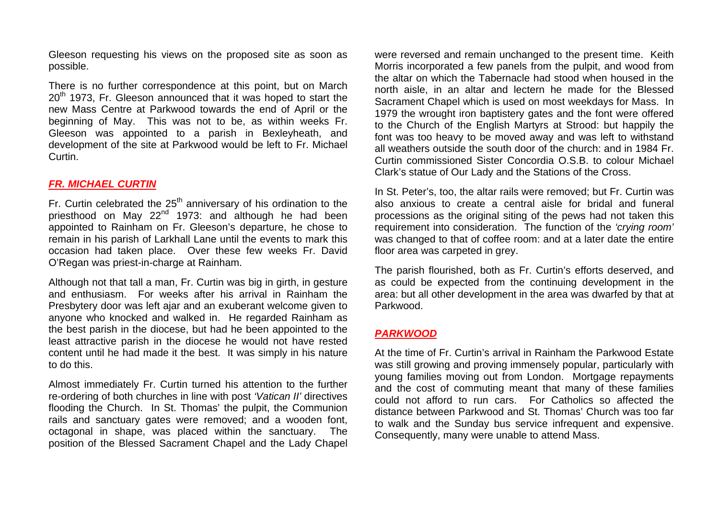Gleeson requesting his views on the proposed site as soon as possible.

There is no further correspondence at this point, but on March 20<sup>th</sup> 1973, Fr. Gleeson announced that it was hoped to start the new Mass Centre at Parkwood towards the end of April or the beginning of May. This was not to be, as within weeks Fr. Gleeson was appointed to a parish in Bexleyheath, and development of the site at Parkwood would be left to Fr. Michael Curtin.

#### *FR. MICHAEL CURTIN*

Fr. Curtin celebrated the  $25<sup>th</sup>$  anniversary of his ordination to the priesthood on May 22<sup>nd</sup> 1973: and although he had been appointed to Rainham on Fr. Gleeson's departure, he chose to remain in his parish of Larkhall Lane until the events to mark this occasion had taken place. Over these few weeks Fr. David O'Regan was priest-in-charge at Rainham.

Although not that tall a man, Fr. Curtin was big in girth, in gesture and enthusiasm. For weeks after his arrival in Rainham the Presbytery door was left ajar and an exuberant welcome given to anyone who knocked and walked in. He regarded Rainham as the best parish in the diocese, but had he been appointed to the least attractive parish in the diocese he would not have rested content until he had made it the best. It was simply in his nature to do this.

Almost immediately Fr. Curtin turned his attention to the further re-ordering of both churches in line with post *'Vatican II'* directives flooding the Church. In St. Thomas' the pulpit, the Communion rails and sanctuary gates were removed; and a wooden font, octagonal in shape, was placed within the sanctuary. The position of the Blessed Sacrament Chapel and the Lady Chapel

were reversed and remain unchanged to the present time. Keith Morris incorporated a few panels from the pulpit, and wood from the altar on which the Tabernacle had stood when housed in the north aisle, in an altar and lectern he made for the Blessed Sacrament Chapel which is used on most weekdays for Mass. In 1979 the wrought iron baptistery gates and the font were offered to the Church of the English Martyrs at Strood: but happily the font was too heavy to be moved away and was left to withstand all weathers outside the south door of the church: and in 1984 Fr. Curtin commissioned Sister Concordia O.S.B. to colour Michael Clark's statue of Our Lady and the Stations of the Cross.

In St. Peter's, too, the altar rails were removed; but Fr. Curtin was also anxious to create a central aisle for bridal and funeral processions as the original siting of the pews had not taken this requirement into consideration. The function of the *'crying room'* was changed to that of coffee room: and at a later date the entire floor area was carpeted in grey.

The parish flourished, both as Fr. Curtin's efforts deserved, and as could be expected from the continuing development in the area: but all other development in the area was dwarfed by that at Parkwood.

## *PARKWOOD*

At the time of Fr. Curtin's arrival in Rainham the Parkwood Estate was still growing and proving immensely popular, particularly with young families moving out from London. Mortgage repayments and the cost of commuting meant that many of these families could not afford to run cars. For Catholics so affected the distance between Parkwood and St. Thomas' Church was too far to walk and the Sunday bus service infrequent and expensive. Consequently, many were unable to attend Mass.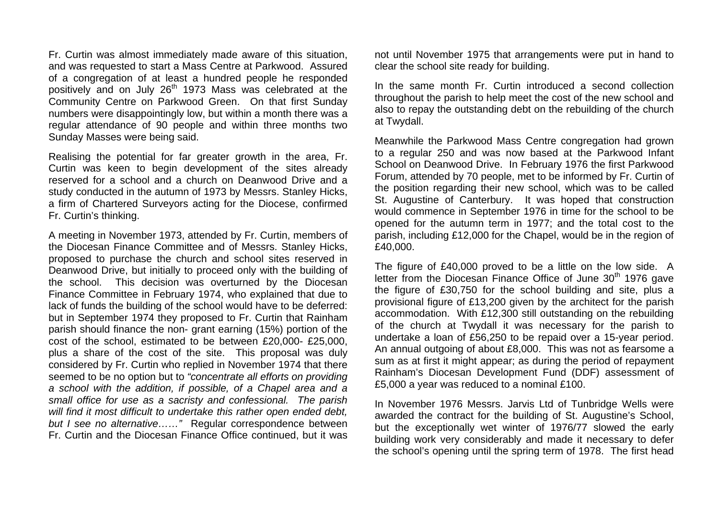Fr. Curtin was almost immediately made aware of this situation, and was requested to start a Mass Centre at Parkwood. Assured of a congregation of at least a hundred people he responded positively and on July 26<sup>th</sup> 1973 Mass was celebrated at the Community Centre on Parkwood Green. On that first Sunday numbers were disappointingly low, but within a month there was a regular attendance of 90 people and within three months two Sunday Masses were being said.

Realising the potential for far greater growth in the area, Fr. Curtin was keen to begin development of the sites already reserved for a school and a church on Deanwood Drive and a study conducted in the autumn of 1973 by Messrs. Stanley Hicks, a firm of Chartered Surveyors acting for the Diocese, confirmed Fr. Curtin's thinking.

A meeting in November 1973, attended by Fr. Curtin, members of the Diocesan Finance Committee and of Messrs. Stanley Hicks, proposed to purchase the church and school sites reserved in Deanwood Drive, but initially to proceed only with the building of the school. This decision was overturned by the Diocesan Finance Committee in February 1974, who explained that due to lack of funds the building of the school would have to be deferred: but in September 1974 they proposed to Fr. Curtin that Rainham parish should finance the non- grant earning (15%) portion of the cost of the school, estimated to be between £20,000- £25,000, plus a share of the cost of the site. This proposal was duly considered by Fr. Curtin who replied in November 1974 that there seemed to be no option but to *"concentrate all efforts on providing a school with the addition, if possible, of a Chapel area and a small office for use as a sacristy and confessional. The parish will find it most difficult to undertake this rather open ended debt, but I see no alternative……"* Regular correspondence between Fr. Curtin and the Diocesan Finance Office continued, but it was

not until November 1975 that arrangements were put in hand to clear the school site ready for building.

In the same month Fr. Curtin introduced a second collection throughout the parish to help meet the cost of the new school and also to repay the outstanding debt on the rebuilding of the church at Twydall.

Meanwhile the Parkwood Mass Centre congregation had grown to a regular 250 and was now based at the Parkwood Infant School on Deanwood Drive. In February 1976 the first Parkwood Forum, attended by 70 people, met to be informed by Fr. Curtin of the position regarding their new school, which was to be called St. Augustine of Canterbury. It was hoped that construction would commence in September 1976 in time for the school to be opened for the autumn term in 1977; and the total cost to the parish, including £12,000 for the Chapel, would be in the region of £40,000.

The figure of £40,000 proved to be a little on the low side. A letter from the Diocesan Finance Office of June 30<sup>th</sup> 1976 gave the figure of £30,750 for the school building and site, plus a provisional figure of £13,200 given by the architect for the parish accommodation. With £12,300 still outstanding on the rebuilding of the church at Twydall it was necessary for the parish to undertake a loan of £56,250 to be repaid over a 15-year period. An annual outgoing of about £8,000. This was not as fearsome a sum as at first it might appear; as during the period of repayment Rainham's Diocesan Development Fund (DDF) assessment of £5,000 a year was reduced to a nominal £100.

In November 1976 Messrs. Jarvis Ltd of Tunbridge Wells were awarded the contract for the building of St. Augustine's School, but the exceptionally wet winter of 1976/77 slowed the early building work very considerably and made it necessary to defer the school's opening until the spring term of 1978. The first head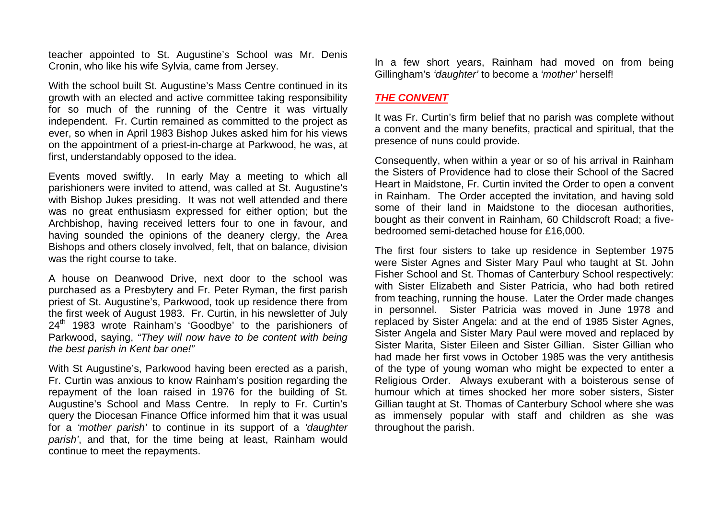teacher appointed to St. Augustine's School was Mr. Denis Cronin, who like his wife Sylvia, came from Jersey.

With the school built St. Augustine's Mass Centre continued in its growth with an elected and active committee taking responsibility for so much of the running of the Centre it was virtually independent. Fr. Curtin remained as committed to the project as ever, so when in April 1983 Bishop Jukes asked him for his views on the appointment of a priest-in-charge at Parkwood, he was, at first, understandably opposed to the idea.

Events moved swiftly. In early May a meeting to which all parishioners were invited to attend, was called at St. Augustine's with Bishop Jukes presiding. It was not well attended and there was no great enthusiasm expressed for either option; but the Archbishop, having received letters four to one in favour, and having sounded the opinions of the deanery clergy, the Area Bishops and others closely involved, felt, that on balance, division was the right course to take.

A house on Deanwood Drive, next door to the school was purchased as a Presbytery and Fr. Peter Ryman, the first parish priest of St. Augustine's, Parkwood, took up residence there from the first week of August 1983. Fr. Curtin, in his newsletter of July 24<sup>th</sup> 1983 wrote Rainham's 'Goodbye' to the parishioners of Parkwood, saying, *"They will now have to be content with being the best parish in Kent bar one!"*

With St Augustine's, Parkwood having been erected as a parish, Fr. Curtin was anxious to know Rainham's position regarding the repayment of the loan raised in 1976 for the building of St. Augustine's School and Mass Centre. In reply to Fr. Curtin's query the Diocesan Finance Office informed him that it was usual for a *'mother parish'* to continue in its support of a *'daughter parish'*, and that, for the time being at least, Rainham would continue to meet the repayments.

In a few short years, Rainham had moved on from being Gillingham's *'daughter'* to become a *'mother'* herself!

## *THE CONVENT*

It was Fr. Curtin's firm belief that no parish was complete without a convent and the many benefits, practical and spiritual, that the presence of nuns could provide.

Consequently, when within a year or so of his arrival in Rainham the Sisters of Providence had to close their School of the Sacred Heart in Maidstone, Fr. Curtin invited the Order to open a convent in Rainham. The Order accepted the invitation, and having sold some of their land in Maidstone to the diocesan authorities, bought as their convent in Rainham, 60 Childscroft Road; a fivebedroomed semi-detached house for £16,000.

The first four sisters to take up residence in September 1975 were Sister Agnes and Sister Mary Paul who taught at St. John Fisher School and St. Thomas of Canterbury School respectively: with Sister Elizabeth and Sister Patricia, who had both retired from teaching, running the house. Later the Order made changes in personnel. Sister Patricia was moved in June 1978 and replaced by Sister Angela: and at the end of 1985 Sister Agnes, Sister Angela and Sister Mary Paul were moved and replaced by Sister Marita, Sister Eileen and Sister Gillian. Sister Gillian who had made her first vows in October 1985 was the very antithesis of the type of young woman who might be expected to enter a Religious Order. Always exuberant with a boisterous sense of humour which at times shocked her more sober sisters, Sister Gillian taught at St. Thomas of Canterbury School where she was as immensely popular with staff and children as she was throughout the parish.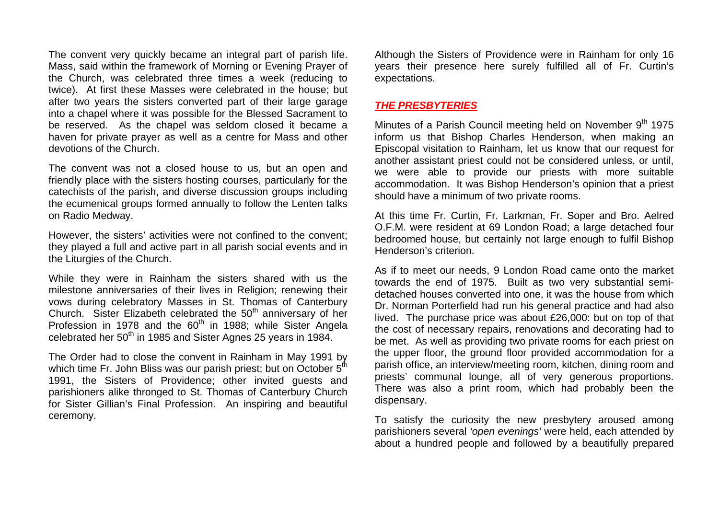The convent very quickly became an integral part of parish life. Mass, said within the framework of Morning or Evening Prayer of the Church, was celebrated three times a week (reducing to twice). At first these Masses were celebrated in the house; but after two years the sisters converted part of their large garage into a chapel where it was possible for the Blessed Sacrament to be reserved. As the chapel was seldom closed it became a haven for private prayer as well as a centre for Mass and other devotions of the Church.

The convent was not a closed house to us, but an open and friendly place with the sisters hosting courses, particularly for the catechists of the parish, and diverse discussion groups including the ecumenical groups formed annually to follow the Lenten talks on Radio Medway.

However, the sisters' activities were not confined to the convent; they played a full and active part in all parish social events and in the Liturgies of the Church.

While they were in Rainham the sisters shared with us the milestone anniversaries of their lives in Religion; renewing their vows during celebratory Masses in St. Thomas of Canterbury Church. Sister Elizabeth celebrated the  $50<sup>th</sup>$  anniversary of her Profession in 1978 and the  $60<sup>th</sup>$  in 1988; while Sister Angela celebrated her 50<sup>th</sup> in 1985 and Sister Agnes 25 years in 1984.

The Order had to close the convent in Rainham in May 1991 by which time Fr. John Bliss was our parish priest; but on October  $5<sup>th</sup>$ 1991, the Sisters of Providence; other invited guests and parishioners alike thronged to St. Thomas of Canterbury Church for Sister Gillian's Final Profession. An inspiring and beautiful ceremony.

Although the Sisters of Providence were in Rainham for only 16 years their presence here surely fulfilled all of Fr. Curtin's expectations.

#### *THE PRESBYTERIES*

Minutes of a Parish Council meeting held on November  $9<sup>th</sup>$  1975 inform us that Bishop Charles Henderson, when making an Episcopal visitation to Rainham, let us know that our request for another assistant priest could not be considered unless, or until, we were able to provide our priests with more suitable accommodation. It was Bishop Henderson's opinion that a priest should have a minimum of two private rooms.

At this time Fr. Curtin, Fr. Larkman, Fr. Soper and Bro. Aelred O.F.M. were resident at 69 London Road; a large detached four bedroomed house, but certainly not large enough to fulfil Bishop Henderson's criterion.

As if to meet our needs, 9 London Road came onto the market towards the end of 1975. Built as two very substantial semidetached houses converted into one, it was the house from which Dr. Norman Porterfield had run his general practice and had also lived. The purchase price was about £26,000: but on top of that the cost of necessary repairs, renovations and decorating had to be met. As well as providing two private rooms for each priest on the upper floor, the ground floor provided accommodation for a parish office, an interview/meeting room, kitchen, dining room and priests' communal lounge, all of very generous proportions. There was also a print room, which had probably been the dispensary.

To satisfy the curiosity the new presbytery aroused among parishioners several *'open evenings'* were held, each attended by about a hundred people and followed by a beautifully prepared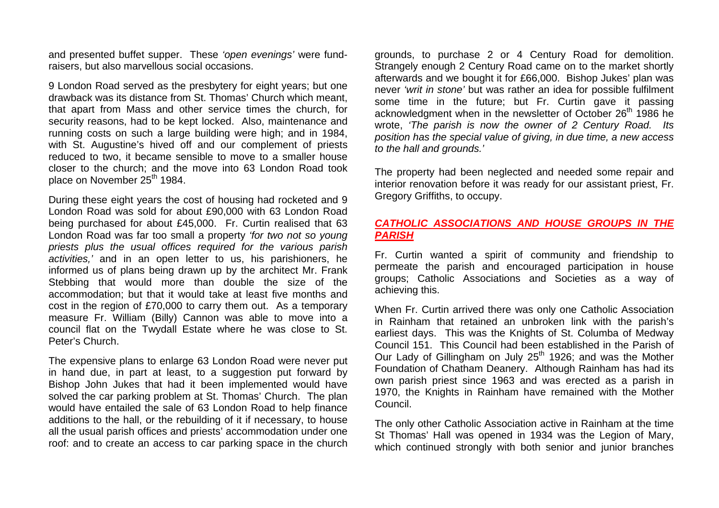and presented buffet supper. These *'open evenings'* were fundraisers, but also marvellous social occasions.

9 London Road served as the presbytery for eight years; but one drawback was its distance from St. Thomas' Church which meant, that apart from Mass and other service times the church, for security reasons, had to be kept locked. Also, maintenance and running costs on such a large building were high; and in 1984, with St. Augustine's hived off and our complement of priests reduced to two, it became sensible to move to a smaller house closer to the church; and the move into 63 London Road took place on November  $25<sup>th</sup>$  1984.

During these eight years the cost of housing had rocketed and 9 London Road was sold for about £90,000 with 63 London Road being purchased for about £45,000. Fr. Curtin realised that 63 London Road was far too small a property *'for two not so young priests plus the usual offices required for the various parish activities,'* and in an open letter to us, his parishioners, he informed us of plans being drawn up by the architect Mr. Frank Stebbing that would more than double the size of the accommodation; but that it would take at least five months and cost in the region of £70,000 to carry them out. As a temporary measure Fr. William (Billy) Cannon was able to move into a council flat on the Twydall Estate where he was close to St. Peter's Church.

The expensive plans to enlarge 63 London Road were never put in hand due, in part at least, to a suggestion put forward by Bishop John Jukes that had it been implemented would have solved the car parking problem at St. Thomas' Church. The plan would have entailed the sale of 63 London Road to help finance additions to the hall, or the rebuilding of it if necessary, to house all the usual parish offices and priests' accommodation under one roof: and to create an access to car parking space in the church grounds, to purchase 2 or 4 Century Road for demolition. Strangely enough 2 Century Road came on to the market shortly afterwards and we bought it for £66,000. Bishop Jukes' plan was never *'writ in stone'* but was rather an idea for possible fulfilment some time in the future; but Fr. Curtin gave it passing acknowledgment when in the newsletter of October 26<sup>th</sup> 1986 he wrote, *'The parish is now the owner of 2 Century Road. Its position has the special value of giving, in due time, a new access to the hall and grounds.'*

The property had been neglected and needed some repair and interior renovation before it was ready for our assistant priest, Fr. Gregory Griffiths, to occupy.

#### *CATHOLIC ASSOCIATIONS AND HOUSE GROUPS IN THE PARISH*

Fr. Curtin wanted a spirit of community and friendship to permeate the parish and encouraged participation in house groups; Catholic Associations and Societies as a way of achieving this.

When Fr. Curtin arrived there was only one Catholic Association in Rainham that retained an unbroken link with the parish's earliest days. This was the Knights of St. Columba of Medway Council 151. This Council had been established in the Parish of Our Lady of Gillingham on July  $25<sup>th</sup>$  1926; and was the Mother Foundation of Chatham Deanery. Although Rainham has had its own parish priest since 1963 and was erected as a parish in 1970, the Knights in Rainham have remained with the Mother Council.

The only other Catholic Association active in Rainham at the time St Thomas' Hall was opened in 1934 was the Legion of Mary, which continued strongly with both senior and junior branches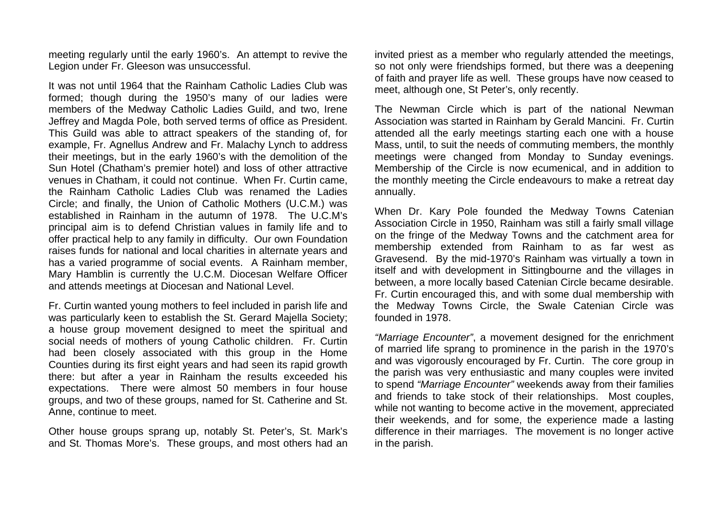meeting regularly until the early 1960's. An attempt to revive the Legion under Fr. Gleeson was unsuccessful.

It was not until 1964 that the Rainham Catholic Ladies Club was formed; though during the 1950's many of our ladies were members of the Medway Catholic Ladies Guild, and two, Irene Jeffrey and Magda Pole, both served terms of office as President. This Guild was able to attract speakers of the standing of, for example, Fr. Agnellus Andrew and Fr. Malachy Lynch to address their meetings, but in the early 1960's with the demolition of the Sun Hotel (Chatham's premier hotel) and loss of other attractive venues in Chatham, it could not continue. When Fr. Curtin came, the Rainham Catholic Ladies Club was renamed the Ladies Circle; and finally, the Union of Catholic Mothers (U.C.M.) was established in Rainham in the autumn of 1978. The U.C.M's principal aim is to defend Christian values in family life and to offer practical help to any family in difficulty. Our own Foundation raises funds for national and local charities in alternate years and has a varied programme of social events. A Rainham member, Mary Hamblin is currently the U.C.M. Diocesan Welfare Officer and attends meetings at Diocesan and National Level.

Fr. Curtin wanted young mothers to feel included in parish life and was particularly keen to establish the St. Gerard Majella Society; a house group movement designed to meet the spiritual and social needs of mothers of young Catholic children. Fr. Curtin had been closely associated with this group in the Home Counties during its first eight years and had seen its rapid growth there: but after a year in Rainham the results exceeded his expectations. There were almost 50 members in four house groups, and two of these groups, named for St. Catherine and St. Anne, continue to meet.

Other house groups sprang up, notably St. Peter's, St. Mark's and St. Thomas More's. These groups, and most others had an invited priest as a member who regularly attended the meetings, so not only were friendships formed, but there was a deepening of faith and prayer life as well. These groups have now ceased to meet, although one, St Peter's, only recently.

The Newman Circle which is part of the national Newman Association was started in Rainham by Gerald Mancini. Fr. Curtin attended all the early meetings starting each one with a house Mass, until, to suit the needs of commuting members, the monthly meetings were changed from Monday to Sunday evenings. Membership of the Circle is now ecumenical, and in addition to the monthly meeting the Circle endeavours to make a retreat day annually.

When Dr. Kary Pole founded the Medway Towns Catenian Association Circle in 1950, Rainham was still a fairly small village on the fringe of the Medway Towns and the catchment area for membership extended from Rainham to as far west as Gravesend. By the mid-1970's Rainham was virtually a town in itself and with development in Sittingbourne and the villages in between, a more locally based Catenian Circle became desirable. Fr. Curtin encouraged this, and with some dual membership with the Medway Towns Circle, the Swale Catenian Circle was founded in 1978.

*"Marriage Encounter"*, a movement designed for the enrichment of married life sprang to prominence in the parish in the 1970's and was vigorously encouraged by Fr. Curtin. The core group in the parish was very enthusiastic and many couples were invited to spend *"Marriage Encounter"* weekends away from their families and friends to take stock of their relationships. Most couples, while not wanting to become active in the movement, appreciated their weekends, and for some, the experience made a lasting difference in their marriages. The movement is no longer active in the parish.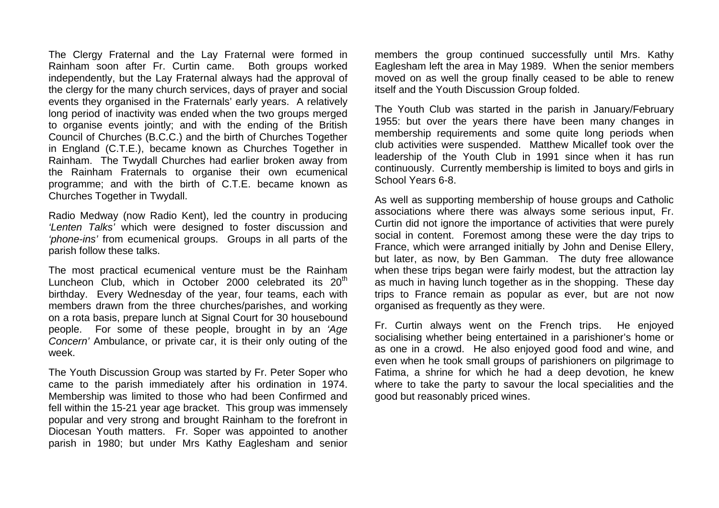The Clergy Fraternal and the Lay Fraternal were formed in Rainham soon after Fr. Curtin came. Both groups worked independently, but the Lay Fraternal always had the approval of the clergy for the many church services, days of prayer and social events they organised in the Fraternals' early years. A relatively long period of inactivity was ended when the two groups merged to organise events jointly; and with the ending of the British Council of Churches (B.C.C.) and the birth of Churches Together in England (C.T.E.), became known as Churches Together in Rainham. The Twydall Churches had earlier broken away from the Rainham Fraternals to organise their own ecumenical programme; and with the birth of C.T.E. became known as Churches Together in Twydall.

Radio Medway (now Radio Kent), led the country in producing *'Lenten Talks'* which were designed to foster discussion and *'phone-ins'* from ecumenical groups. Groups in all parts of the parish follow these talks.

The most practical ecumenical venture must be the Rainham Luncheon Club, which in October 2000 celebrated its  $20<sup>th</sup>$ birthday. Every Wednesday of the year, four teams, each with members drawn from the three churches/parishes, and working on a rota basis, prepare lunch at Signal Court for 30 housebound people. For some of these people, brought in by an *'Age Concern'* Ambulance, or private car, it is their only outing of the week.

The Youth Discussion Group was started by Fr. Peter Soper who came to the parish immediately after his ordination in 1974. Membership was limited to those who had been Confirmed and fell within the 15-21 year age bracket. This group was immensely popular and very strong and brought Rainham to the forefront in Diocesan Youth matters. Fr. Soper was appointed to another parish in 1980; but under Mrs Kathy Eaglesham and senior members the group continued successfully until Mrs. Kathy Eaglesham left the area in May 1989. When the senior members moved on as well the group finally ceased to be able to renew itself and the Youth Discussion Group folded.

The Youth Club was started in the parish in January/February 1955: but over the years there have been many changes in membership requirements and some quite long periods when club activities were suspended. Matthew Micallef took over the leadership of the Youth Club in 1991 since when it has run continuously. Currently membership is limited to boys and girls in School Years 6-8.

As well as supporting membership of house groups and Catholic associations where there was always some serious input, Fr. Curtin did not ignore the importance of activities that were purely social in content. Foremost among these were the day trips to France, which were arranged initially by John and Denise Ellery, but later, as now, by Ben Gamman. The duty free allowance when these trips began were fairly modest, but the attraction lay as much in having lunch together as in the shopping. These day trips to France remain as popular as ever, but are not now organised as frequently as they were.

Fr. Curtin always went on the French trips. He enjoyed socialising whether being entertained in a parishioner's home or as one in a crowd. He also enjoyed good food and wine, and even when he took small groups of parishioners on pilgrimage to Fatima, a shrine for which he had a deep devotion, he knew where to take the party to savour the local specialities and the good but reasonably priced wines.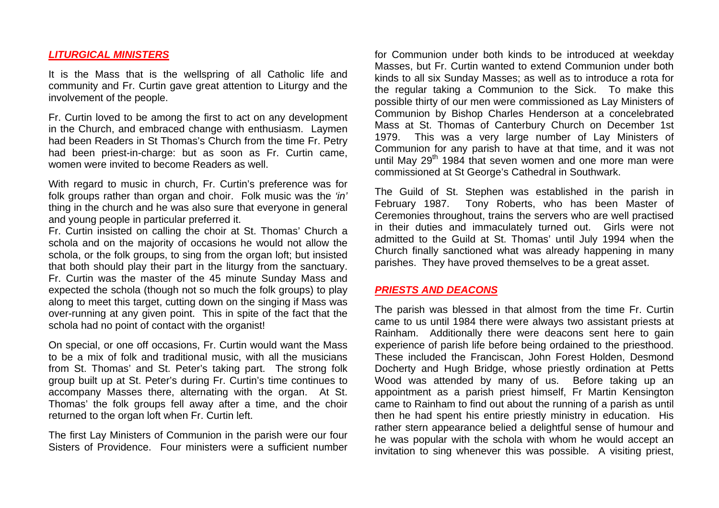## *LITURGICAL MINISTERS*

It is the Mass that is the wellspring of all Catholic life and community and Fr. Curtin gave great attention to Liturgy and the involvement of the people.

Fr. Curtin loved to be among the first to act on any development in the Church, and embraced change with enthusiasm. Laymen had been Readers in St Thomas's Church from the time Fr. Petry had been priest-in-charge: but as soon as Fr. Curtin came, women were invited to become Readers as well.

With regard to music in church, Fr. Curtin's preference was for folk groups rather than organ and choir. Folk music was the *'in'* thing in the church and he was also sure that everyone in general and young people in particular preferred it.

Fr. Curtin insisted on calling the choir at St. Thomas' Church a schola and on the majority of occasions he would not allow the schola, or the folk groups, to sing from the organ loft; but insisted that both should play their part in the liturgy from the sanctuary. Fr. Curtin was the master of the 45 minute Sunday Mass and expected the schola (though not so much the folk groups) to play along to meet this target, cutting down on the singing if Mass was over-running at any given point. This in spite of the fact that the schola had no point of contact with the organist!

On special, or one off occasions, Fr. Curtin would want the Mass to be a mix of folk and traditional music, with all the musicians from St. Thomas' and St. Peter's taking part. The strong folk group built up at St. Peter's during Fr. Curtin's time continues to accompany Masses there, alternating with the organ. At St. Thomas' the folk groups fell away after a time, and the choir returned to the organ loft when Fr. Curtin left.

The first Lay Ministers of Communion in the parish were our four Sisters of Providence. Four ministers were a sufficient number

for Communion under both kinds to be introduced at weekday Masses, but Fr. Curtin wanted to extend Communion under both kinds to all six Sunday Masses; as well as to introduce a rota for the regular taking a Communion to the Sick. To make this possible thirty of our men were commissioned as Lay Ministers of Communion by Bishop Charles Henderson at a concelebrated Mass at St. Thomas of Canterbury Church on December 1st 1979. This was a very large number of Lay Ministers of Communion for any parish to have at that time, and it was not until May  $29<sup>th</sup>$  1984 that seven women and one more man were commissioned at St George's Cathedral in Southwark.

The Guild of St. Stephen was established in the parish in February 1987. Tony Roberts, who has been Master of Ceremonies throughout, trains the servers who are well practised in their duties and immaculately turned out. Girls were not admitted to the Guild at St. Thomas' until July 1994 when the Church finally sanctioned what was already happening in many parishes. They have proved themselves to be a great asset.

#### *PRIESTS AND DEACONS*

The parish was blessed in that almost from the time Fr. Curtin came to us until 1984 there were always two assistant priests at Rainham. Additionally there were deacons sent here to gain experience of parish life before being ordained to the priesthood. These included the Franciscan, John Forest Holden, Desmond Docherty and Hugh Bridge, whose priestly ordination at Petts Wood was attended by many of us. Before taking up an appointment as a parish priest himself, Fr Martin Kensington came to Rainham to find out about the running of a parish as until then he had spent his entire priestly ministry in education. His rather stern appearance belied a delightful sense of humour and he was popular with the schola with whom he would accept an invitation to sing whenever this was possible. A visiting priest,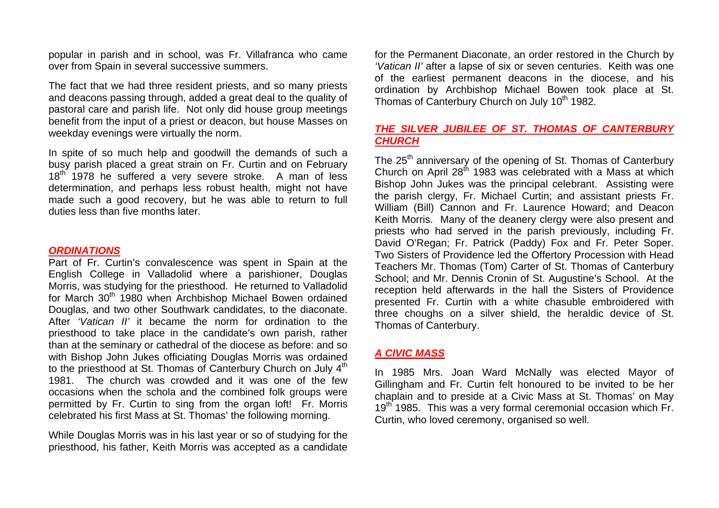popular in parish and in school, was Fr. Villafranca who came over from Spain in several successive summers.

The fact that we had three resident priests, and so many priests and deacons passing through, added a great deal to the quality of pastoral care and parish life. Not only did house group meetings benefit from the input of a priest or deacon, but house Masses on weekday evenings were virtually the norm.

In spite of so much help and goodwill the demands of such a busy parish placed a great strain on Fr. Curtin and on February 18<sup>th</sup> 1978 he suffered a very severe stroke. A man of less determination, and perhaps less robust health, might not have made such a good recovery, but he was able to return to full duties less than five months later.

#### *ORDINATIONS*

Part of Fr. Curtin's convalescence was spent in Spain at the English College in Valladolid where a parishioner, Douglas Morris, was studying for the priesthood. He returned to Valladolid for March 30<sup>th</sup> 1980 when Archbishop Michael Bowen ordained Douglas, and two other Southwark candidates, to the diaconate. After *'Vatican II'* it became the norm for ordination to the priesthood to take place in the candidate's own parish, rather than at the seminary or cathedral of the diocese as before: and so with Bishop John Jukes officiating Douglas Morris was ordained to the priesthood at St. Thomas of Canterbury Church on July 4<sup>th</sup> 1981. The church was crowded and it was one of the few occasions when the schola and the combined folk groups were permitted by Fr. Curtin to sing from the organ loft! Fr. Morris celebrated his first Mass at St. Thomas' the following morning.

While Douglas Morris was in his last year or so of studying for the priesthood, his father, Keith Morris was accepted as a candidate for the Permanent Diaconate, an order restored in the Church by *'Vatican II'* after a lapse of six or seven centuries. Keith was one of the earliest permanent deacons in the diocese, and his ordination by Archbishop Michael Bowen took place at St. Thomas of Canterbury Church on July 10<sup>th</sup> 1982.

## *THE SILVER JUBILEE OF ST. THOMAS OF CANTERBURY CHURCH*

The 25<sup>th</sup> anniversary of the opening of St. Thomas of Canterbury Church on April  $28<sup>th</sup>$  1983 was celebrated with a Mass at which Bishop John Jukes was the principal celebrant. Assisting were the parish clergy, Fr. Michael Curtin; and assistant priests Fr. William (Bill) Cannon and Fr. Laurence Howard; and Deacon Keith Morris. Many of the deanery clergy were also present and priests who had served in the parish previously, including Fr. David O'Regan; Fr. Patrick (Paddy) Fox and Fr. Peter Soper. Two Sisters of Providence led the Offertory Procession with Head Teachers Mr. Thomas (Tom) Carter of St. Thomas of Canterbury School; and Mr. Dennis Cronin of St. Augustine's School. At the reception held afterwards in the hall the Sisters of Providence presented Fr. Curtin with a white chasuble embroidered with three choughs on a silver shield, the heraldic device of St. Thomas of Canterbury.

## *A CIVIC MASS*

In 1985 Mrs. Joan Ward McNally was elected Mayor of Gillingham and Fr. Curtin felt honoured to be invited to be her chaplain and to preside at a Civic Mass at St. Thomas' on May 19<sup>th</sup> 1985. This was a very formal ceremonial occasion which Fr. Curtin, who loved ceremony, organised so well.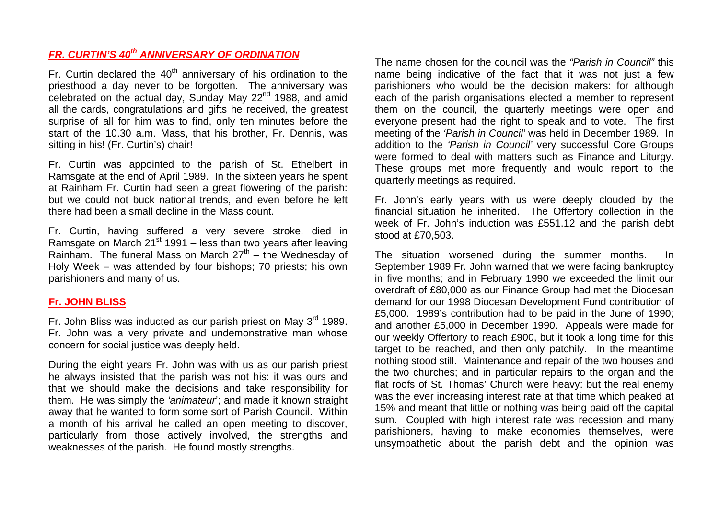# *FR. CURTIN'S 40th ANNIVERSARY OF ORDINATION*

Fr. Curtin declared the  $40<sup>th</sup>$  anniversary of his ordination to the priesthood a day never to be forgotten. The anniversary was celebrated on the actual day, Sunday May 22<sup>nd</sup> 1988, and amid all the cards, congratulations and gifts he received, the greatest surprise of all for him was to find, only ten minutes before the start of the 10.30 a.m. Mass, that his brother, Fr. Dennis, was sitting in his! (Fr. Curtin's) chair!

Fr. Curtin was appointed to the parish of St. Ethelbert in Ramsgate at the end of April 1989. In the sixteen years he spent at Rainham Fr. Curtin had seen a great flowering of the parish: but we could not buck national trends, and even before he left there had been a small decline in the Mass count.

Fr. Curtin, having suffered a very severe stroke, died in Ramsgate on March  $21<sup>st</sup>$  1991 – less than two years after leaving Rainham. The funeral Mass on March  $27<sup>th</sup>$  – the Wednesday of Holy Week – was attended by four bishops; 70 priests; his own parishioners and many of us.

#### **Fr. JOHN BLISS**

Fr. John Bliss was inducted as our parish priest on May 3<sup>rd</sup> 1989. Fr. John was a very private and undemonstrative man whose concern for social justice was deeply held.

During the eight years Fr. John was with us as our parish priest he always insisted that the parish was not his: it was ours and that we should make the decisions and take responsibility for them. He was simply the *'animateur*'; and made it known straight away that he wanted to form some sort of Parish Council. Within a month of his arrival he called an open meeting to discover, particularly from those actively involved, the strengths and weaknesses of the parish. He found mostly strengths.

The name chosen for the council was the *"Parish in Council"* this name being indicative of the fact that it was not just a few parishioners who would be the decision makers: for although each of the parish organisations elected a member to represent them on the council, the quarterly meetings were open and everyone present had the right to speak and to vote. The first meeting of the *'Parish in Council'* was held in December 1989. In addition to the *'Parish in Council'* very successful Core Groups were formed to deal with matters such as Finance and Liturgy. These groups met more frequently and would report to the quarterly meetings as required.

Fr. John's early years with us were deeply clouded by the financial situation he inherited. The Offertory collection in the week of Fr. John's induction was £551.12 and the parish debt stood at £70,503.

The situation worsened during the summer months. In September 1989 Fr. John warned that we were facing bankruptcy in five months; and in February 1990 we exceeded the limit our overdraft of £80,000 as our Finance Group had met the Diocesan demand for our 1998 Diocesan Development Fund contribution of £5,000. 1989's contribution had to be paid in the June of 1990; and another £5,000 in December 1990. Appeals were made for our weekly Offertory to reach £900, but it took a long time for this target to be reached, and then only patchily. In the meantime nothing stood still. Maintenance and repair of the two houses and the two churches; and in particular repairs to the organ and the flat roofs of St. Thomas' Church were heavy: but the real enemy was the ever increasing interest rate at that time which peaked at 15% and meant that little or nothing was being paid off the capital sum. Coupled with high interest rate was recession and many parishioners, having to make economies themselves, were unsympathetic about the parish debt and the opinion was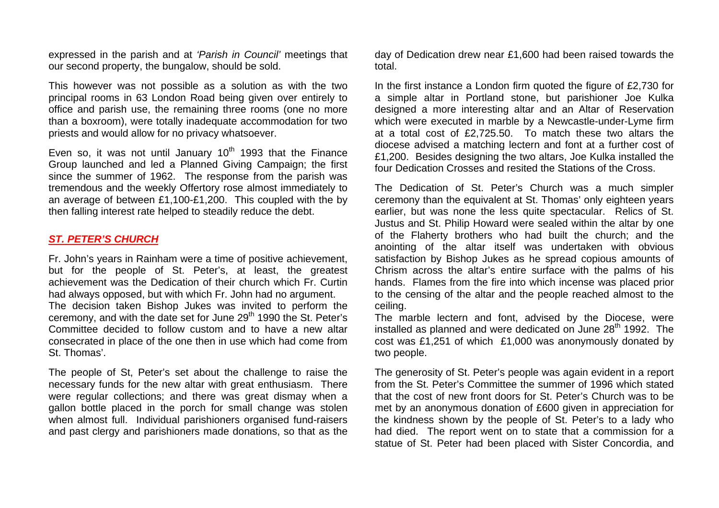expressed in the parish and at *'Parish in Council'* meetings that our second property, the bungalow, should be sold.

This however was not possible as a solution as with the two principal rooms in 63 London Road being given over entirely to office and parish use, the remaining three rooms (one no more than a boxroom), were totally inadequate accommodation for two priests and would allow for no privacy whatsoever.

Even so, it was not until January  $10<sup>th</sup>$  1993 that the Finance Group launched and led a Planned Giving Campaign; the first since the summer of 1962. The response from the parish was tremendous and the weekly Offertory rose almost immediately to an average of between £1,100-£1,200. This coupled with the by then falling interest rate helped to steadily reduce the debt.

#### *ST. PETER'S CHURCH*

Fr. John's years in Rainham were a time of positive achievement, but for the people of St. Peter's, at least, the greatest achievement was the Dedication of their church which Fr. Curtin had always opposed, but with which Fr. John had no argument. The decision taken Bishop Jukes was invited to perform the ceremony, and with the date set for June 29<sup>th</sup> 1990 the St. Peter's Committee decided to follow custom and to have a new altar consecrated in place of the one then in use which had come from St. Thomas'.

The people of St, Peter's set about the challenge to raise the necessary funds for the new altar with great enthusiasm. There were regular collections; and there was great dismay when a gallon bottle placed in the porch for small change was stolen when almost full. Individual parishioners organised fund-raisers and past clergy and parishioners made donations, so that as the

day of Dedication drew near £1,600 had been raised towards the total.

In the first instance a London firm quoted the figure of £2,730 for a simple altar in Portland stone, but parishioner Joe Kulka designed a more interesting altar and an Altar of Reservation which were executed in marble by a Newcastle-under-Lyme firm at a total cost of £2,725.50. To match these two altars the diocese advised a matching lectern and font at a further cost of £1,200. Besides designing the two altars, Joe Kulka installed the four Dedication Crosses and resited the Stations of the Cross.

The Dedication of St. Peter's Church was a much simpler ceremony than the equivalent at St. Thomas' only eighteen years earlier, but was none the less quite spectacular. Relics of St. Justus and St. Philip Howard were sealed within the altar by one of the Flaherty brothers who had built the church; and the anointing of the altar itself was undertaken with obvious satisfaction by Bishop Jukes as he spread copious amounts of Chrism across the altar's entire surface with the palms of his hands. Flames from the fire into which incense was placed prior to the censing of the altar and the people reached almost to the ceiling.

The marble lectern and font, advised by the Diocese, were installed as planned and were dedicated on June 28<sup>th</sup> 1992. The cost was £1,251 of which £1,000 was anonymously donated by two people.

The generosity of St. Peter's people was again evident in a report from the St. Peter's Committee the summer of 1996 which stated that the cost of new front doors for St. Peter's Church was to be met by an anonymous donation of £600 given in appreciation for the kindness shown by the people of St. Peter's to a lady who had died. The report went on to state that a commission for a statue of St. Peter had been placed with Sister Concordia, and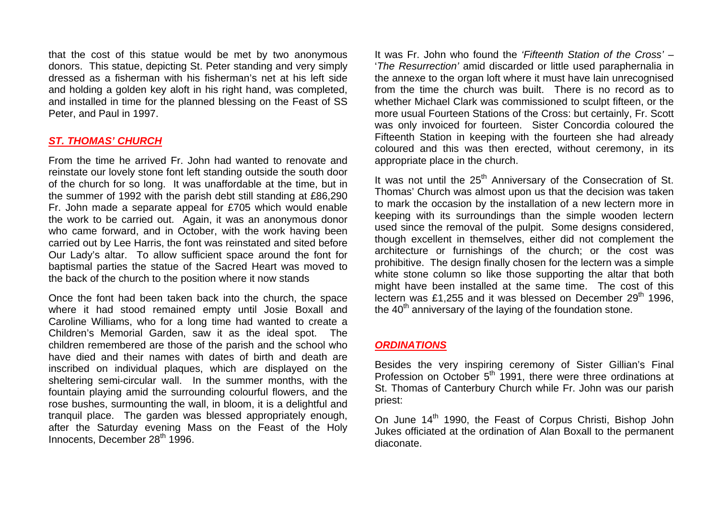that the cost of this statue would be met by two anonymous donors. This statue, depicting St. Peter standing and very simply dressed as a fisherman with his fisherman's net at his left side and holding a golden key aloft in his right hand, was completed. and installed in time for the planned blessing on the Feast of SS Peter, and Paul in 1997.

## *ST. THOMAS' CHURCH*

From the time he arrived Fr. John had wanted to renovate and reinstate our lovely stone font left standing outside the south door of the church for so long. It was unaffordable at the time, but in the summer of 1992 with the parish debt still standing at £86,290 Fr. John made a separate appeal for £705 which would enable the work to be carried out. Again, it was an anonymous donor who came forward, and in October, with the work having been carried out by Lee Harris, the font was reinstated and sited before Our Lady's altar. To allow sufficient space around the font for baptismal parties the statue of the Sacred Heart was moved to the back of the church to the position where it now stands

Once the font had been taken back into the church, the space where it had stood remained empty until Josie Boxall and Caroline Williams, who for a long time had wanted to create a Children's Memorial Garden, saw it as the ideal spot. The children remembered are those of the parish and the school who have died and their names with dates of birth and death are inscribed on individual plaques, which are displayed on the sheltering semi-circular wall. In the summer months, with the fountain playing amid the surrounding colourful flowers, and the rose bushes, surmounting the wall, in bloom, it is a delightful and tranquil place. The garden was blessed appropriately enough, after the Saturday evening Mass on the Feast of the Holy Innocents, December 28<sup>th</sup> 1996.

It was Fr. John who found the *'Fifteenth Station of the Cross'* – '*The Resurrection'* amid discarded or little used paraphernalia in the annexe to the organ loft where it must have lain unrecognised from the time the church was built. There is no record as to whether Michael Clark was commissioned to sculpt fifteen, or the more usual Fourteen Stations of the Cross: but certainly, Fr. Scott was only invoiced for fourteen. Sister Concordia coloured the Fifteenth Station in keeping with the fourteen she had already coloured and this was then erected, without ceremony, in its appropriate place in the church.

It was not until the  $25<sup>th</sup>$  Anniversary of the Consecration of St. Thomas' Church was almost upon us that the decision was taken to mark the occasion by the installation of a new lectern more in keeping with its surroundings than the simple wooden lectern used since the removal of the pulpit. Some designs considered, though excellent in themselves, either did not complement the architecture or furnishings of the church; or the cost was prohibitive. The design finally chosen for the lectern was a simple white stone column so like those supporting the altar that both might have been installed at the same time. The cost of this lectern was £1,255 and it was blessed on December  $29<sup>th</sup>$  1996, the  $40<sup>th</sup>$  anniversary of the laying of the foundation stone.

#### *ORDINATIONS*

Besides the very inspiring ceremony of Sister Gillian's Final Profession on October 5<sup>th</sup> 1991, there were three ordinations at St. Thomas of Canterbury Church while Fr. John was our parish priest:

On June 14<sup>th</sup> 1990, the Feast of Corpus Christi, Bishop John Jukes officiated at the ordination of Alan Boxall to the permanent diaconate.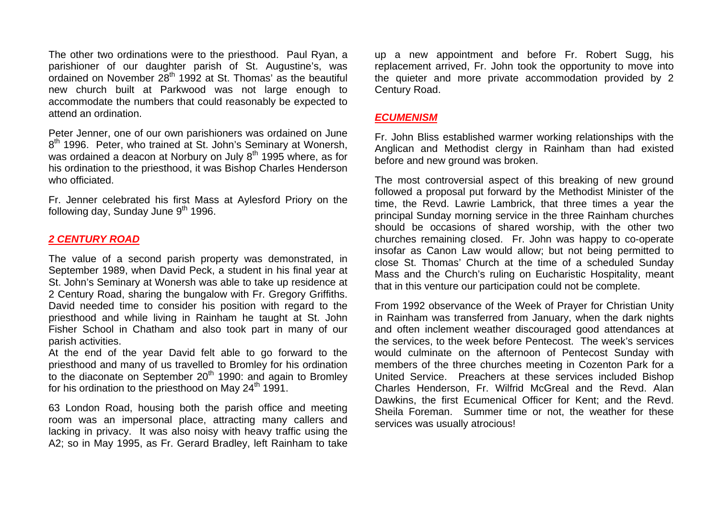The other two ordinations were to the priesthood. Paul Ryan, a parishioner of our daughter parish of St. Augustine's, was ordained on November  $28<sup>th</sup>$  1992 at St. Thomas' as the beautiful new church built at Parkwood was not large enough to accommodate the numbers that could reasonably be expected to attend an ordination.

Peter Jenner, one of our own parishioners was ordained on June 8<sup>th</sup> 1996. Peter, who trained at St. John's Seminary at Wonersh, was ordained a deacon at Norbury on July 8<sup>th</sup> 1995 where, as for his ordination to the priesthood, it was Bishop Charles Henderson who officiated.

Fr. Jenner celebrated his first Mass at Aylesford Priory on the following day, Sunday June  $9<sup>th</sup>$  1996.

## *2 CENTURY ROAD*

The value of a second parish property was demonstrated, in September 1989, when David Peck, a student in his final year at St. John's Seminary at Wonersh was able to take up residence at 2 Century Road, sharing the bungalow with Fr. Gregory Griffiths. David needed time to consider his position with regard to the priesthood and while living in Rainham he taught at St. John Fisher School in Chatham and also took part in many of our parish activities.

At the end of the year David felt able to go forward to the priesthood and many of us travelled to Bromley for his ordination to the diaconate on September  $20<sup>th</sup>$  1990: and again to Bromley for his ordination to the priesthood on May 24<sup>th</sup> 1991.

63 London Road, housing both the parish office and meeting room was an impersonal place, attracting many callers and lacking in privacy. It was also noisy with heavy traffic using the A2; so in May 1995, as Fr. Gerard Bradley, left Rainham to take up a new appointment and before Fr. Robert Sugg, his replacement arrived, Fr. John took the opportunity to move into the quieter and more private accommodation provided by 2 Century Road.

## *ECUMENISM*

Fr. John Bliss established warmer working relationships with the Anglican and Methodist clergy in Rainham than had existed before and new ground was broken.

The most controversial aspect of this breaking of new ground followed a proposal put forward by the Methodist Minister of the time, the Revd. Lawrie Lambrick, that three times a year the principal Sunday morning service in the three Rainham churches should be occasions of shared worship, with the other two churches remaining closed. Fr. John was happy to co-operate insofar as Canon Law would allow; but not being permitted to close St. Thomas' Church at the time of a scheduled Sunday Mass and the Church's ruling on Eucharistic Hospitality, meant that in this venture our participation could not be complete.

From 1992 observance of the Week of Prayer for Christian Unity in Rainham was transferred from January, when the dark nights and often inclement weather discouraged good attendances at the services, to the week before Pentecost. The week's services would culminate on the afternoon of Pentecost Sunday with members of the three churches meeting in Cozenton Park for a United Service. Preachers at these services included Bishop Charles Henderson, Fr. Wilfrid McGreal and the Revd. Alan Dawkins, the first Ecumenical Officer for Kent; and the Revd. Sheila Foreman. Summer time or not, the weather for these services was usually atrocious!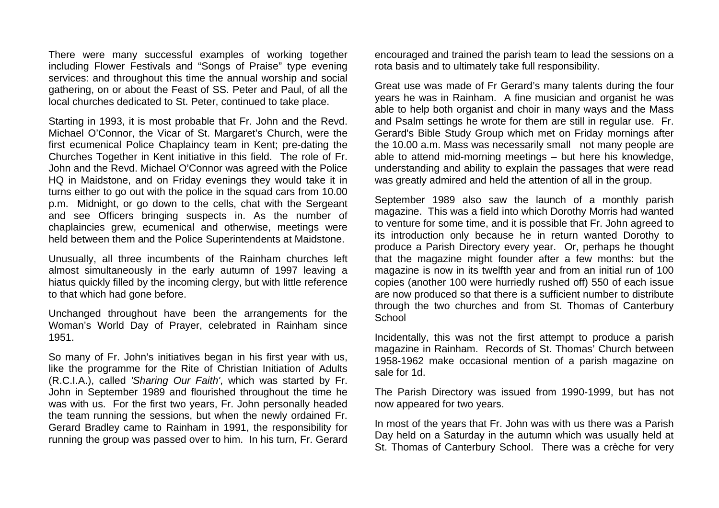There were many successful examples of working together including Flower Festivals and "Songs of Praise" type evening services: and throughout this time the annual worship and social gathering, on or about the Feast of SS. Peter and Paul, of all the local churches dedicated to St. Peter, continued to take place.

Starting in 1993, it is most probable that Fr. John and the Revd. Michael O'Connor, the Vicar of St. Margaret's Church, were the first ecumenical Police Chaplaincy team in Kent; pre-dating the Churches Together in Kent initiative in this field. The role of Fr. John and the Revd. Michael O'Connor was agreed with the Police HQ in Maidstone, and on Friday evenings they would take it in turns either to go out with the police in the squad cars from 10.00 p.m. Midnight, or go down to the cells, chat with the Sergeant and see Officers bringing suspects in. As the number of chaplaincies grew, ecumenical and otherwise, meetings were held between them and the Police Superintendents at Maidstone.

Unusually, all three incumbents of the Rainham churches left almost simultaneously in the early autumn of 1997 leaving a hiatus quickly filled by the incoming clergy, but with little reference to that which had gone before.

Unchanged throughout have been the arrangements for the Woman's World Day of Prayer, celebrated in Rainham since 1951.

So many of Fr. John's initiatives began in his first year with us, like the programme for the Rite of Christian Initiation of Adults (R.C.I.A.), called *'Sharing Our Faith'*, which was started by Fr. John in September 1989 and flourished throughout the time he was with us. For the first two years, Fr. John personally headed the team running the sessions, but when the newly ordained Fr. Gerard Bradley came to Rainham in 1991, the responsibility for running the group was passed over to him. In his turn, Fr. Gerard encouraged and trained the parish team to lead the sessions on a rota basis and to ultimately take full responsibility.

Great use was made of Fr Gerard's many talents during the four years he was in Rainham. A fine musician and organist he was able to help both organist and choir in many ways and the Mass and Psalm settings he wrote for them are still in regular use. Fr. Gerard's Bible Study Group which met on Friday mornings after the 10.00 a.m. Mass was necessarily small not many people are able to attend mid-morning meetings – but here his knowledge, understanding and ability to explain the passages that were read was greatly admired and held the attention of all in the group.

September 1989 also saw the launch of a monthly parish magazine. This was a field into which Dorothy Morris had wanted to venture for some time, and it is possible that Fr. John agreed to its introduction only because he in return wanted Dorothy to produce a Parish Directory every year. Or, perhaps he thought that the magazine might founder after a few months: but the magazine is now in its twelfth year and from an initial run of 100 copies (another 100 were hurriedly rushed off) 550 of each issue are now produced so that there is a sufficient number to distribute through the two churches and from St. Thomas of Canterbury **School** 

Incidentally, this was not the first attempt to produce a parish magazine in Rainham. Records of St. Thomas' Church between 1958-1962 make occasional mention of a parish magazine on sale for 1d.

The Parish Directory was issued from 1990-1999, but has not now appeared for two years.

In most of the years that Fr. John was with us there was a Parish Day held on a Saturday in the autumn which was usually held at St. Thomas of Canterbury School. There was a crèche for very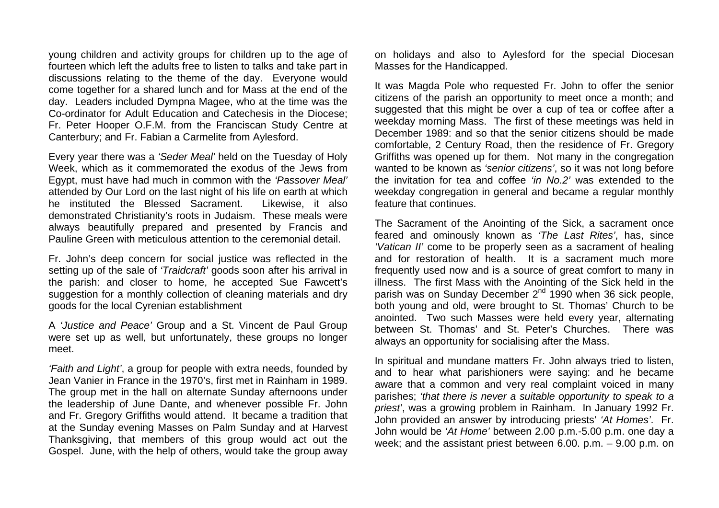young children and activity groups for children up to the age of fourteen which left the adults free to listen to talks and take part in discussions relating to the theme of the day. Everyone would come together for a shared lunch and for Mass at the end of the day. Leaders included Dympna Magee, who at the time was the Co-ordinator for Adult Education and Catechesis in the Diocese; Fr. Peter Hooper O.F.M. from the Franciscan Study Centre at Canterbury; and Fr. Fabian a Carmelite from Aylesford.

Every year there was a *'Seder Meal'* held on the Tuesday of Holy Week, which as it commemorated the exodus of the Jews from Egypt, must have had much in common with the *'Passover Meal'* attended by Our Lord on the last night of his life on earth at which he instituted the Blessed Sacrament. Likewise, it also demonstrated Christianity's roots in Judaism. These meals were always beautifully prepared and presented by Francis and Pauline Green with meticulous attention to the ceremonial detail.

Fr. John's deep concern for social justice was reflected in the setting up of the sale of *'Traidcraft'* goods soon after his arrival in the parish: and closer to home, he accepted Sue Fawcett's suggestion for a monthly collection of cleaning materials and dry goods for the local Cyrenian establishment

A *'Justice and Peace'* Group and a St. Vincent de Paul Group were set up as well, but unfortunately, these groups no longer meet.

*'Faith and Light'*, a group for people with extra needs, founded by Jean Vanier in France in the 1970's, first met in Rainham in 1989. The group met in the hall on alternate Sunday afternoons under the leadership of June Dante, and whenever possible Fr. John and Fr. Gregory Griffiths would attend. It became a tradition that at the Sunday evening Masses on Palm Sunday and at Harvest Thanksgiving, that members of this group would act out the Gospel. June, with the help of others, would take the group away on holidays and also to Aylesford for the special Diocesan Masses for the Handicapped.

It was Magda Pole who requested Fr. John to offer the senior citizens of the parish an opportunity to meet once a month; and suggested that this might be over a cup of tea or coffee after a weekday morning Mass. The first of these meetings was held in December 1989: and so that the senior citizens should be made comfortable, 2 Century Road, then the residence of Fr. Gregory Griffiths was opened up for them. Not many in the congregation wanted to be known as *'senior citizens'*, so it was not long before the invitation for tea and coffee *'in No.2'* was extended to the weekday congregation in general and became a regular monthly feature that continues.

The Sacrament of the Anointing of the Sick, a sacrament once feared and ominously known as *'The Last Rites'*, has, since *'Vatican II'* come to be properly seen as a sacrament of healing and for restoration of health. It is a sacrament much more frequently used now and is a source of great comfort to many in illness. The first Mass with the Anointing of the Sick held in the parish was on Sunday December  $2^{nd}$  1990 when 36 sick people, both young and old, were brought to St. Thomas' Church to be anointed. Two such Masses were held every year, alternating between St. Thomas' and St. Peter's Churches. There was always an opportunity for socialising after the Mass.

In spiritual and mundane matters Fr. John always tried to listen, and to hear what parishioners were saying: and he became aware that a common and very real complaint voiced in many parishes; *'that there is never a suitable opportunity to speak to a priest'*, was a growing problem in Rainham. In January 1992 Fr. John provided an answer by introducing priests' *'At Homes'*. Fr. John would be *'At Home'* between 2.00 p.m.-5.00 p.m. one day a week; and the assistant priest between 6.00. p.m. – 9.00 p.m. on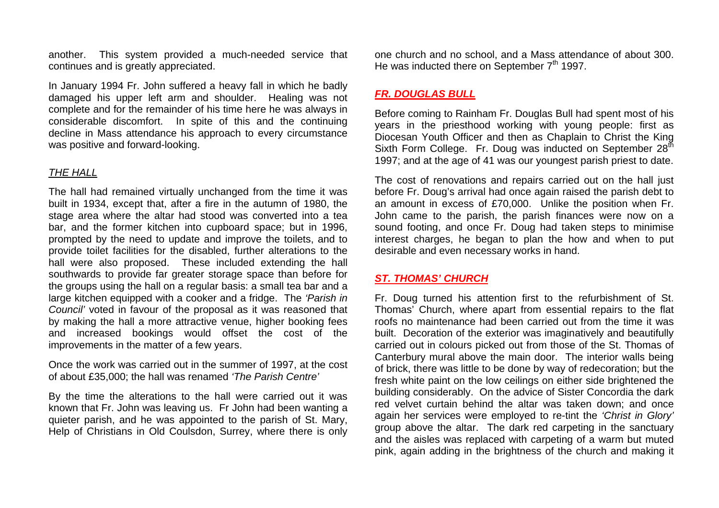another. This system provided a much-needed service that continues and is greatly appreciated.

In January 1994 Fr. John suffered a heavy fall in which he badly damaged his upper left arm and shoulder. Healing was not complete and for the remainder of his time here he was always in considerable discomfort. In spite of this and the continuing decline in Mass attendance his approach to every circumstance was positive and forward-looking.

## *THE HALL*

The hall had remained virtually unchanged from the time it was built in 1934, except that, after a fire in the autumn of 1980, the stage area where the altar had stood was converted into a tea bar, and the former kitchen into cupboard space; but in 1996, prompted by the need to update and improve the toilets, and to provide toilet facilities for the disabled, further alterations to the hall were also proposed. These included extending the hall southwards to provide far greater storage space than before for the groups using the hall on a regular basis: a small tea bar and a large kitchen equipped with a cooker and a fridge. The *'Parish in Council'* voted in favour of the proposal as it was reasoned that by making the hall a more attractive venue, higher booking fees and increased bookings would offset the cost of the improvements in the matter of a few years.

Once the work was carried out in the summer of 1997, at the cost of about £35,000; the hall was renamed *'The Parish Centre'*

By the time the alterations to the hall were carried out it was known that Fr. John was leaving us. Fr John had been wanting a quieter parish, and he was appointed to the parish of St. Mary, Help of Christians in Old Coulsdon, Surrey, where there is only one church and no school, and a Mass attendance of about 300. He was inducted there on September  $7<sup>th</sup>$  1997.

## *FR. DOUGLAS BULL*

Before coming to Rainham Fr. Douglas Bull had spent most of his years in the priesthood working with young people: first as Diocesan Youth Officer and then as Chaplain to Christ the King Sixth Form College. Fr. Doug was inducted on September 28<sup>th</sup> 1997; and at the age of 41 was our youngest parish priest to date.

The cost of renovations and repairs carried out on the hall just before Fr. Doug's arrival had once again raised the parish debt to an amount in excess of £70,000. Unlike the position when Fr. John came to the parish, the parish finances were now on a sound footing, and once Fr. Doug had taken steps to minimise interest charges, he began to plan the how and when to put desirable and even necessary works in hand.

## *ST. THOMAS' CHURCH*

Fr. Doug turned his attention first to the refurbishment of St. Thomas' Church, where apart from essential repairs to the flat roofs no maintenance had been carried out from the time it was built. Decoration of the exterior was imaginatively and beautifully carried out in colours picked out from those of the St. Thomas of Canterbury mural above the main door. The interior walls being of brick, there was little to be done by way of redecoration; but the fresh white paint on the low ceilings on either side brightened the building considerably. On the advice of Sister Concordia the dark red velvet curtain behind the altar was taken down; and once again her services were employed to re-tint the *'Christ in Glory'* group above the altar. The dark red carpeting in the sanctuary and the aisles was replaced with carpeting of a warm but muted pink, again adding in the brightness of the church and making it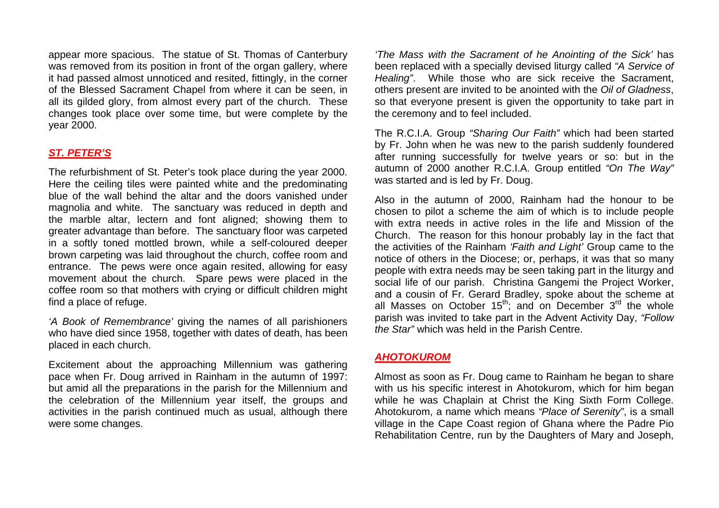appear more spacious. The statue of St. Thomas of Canterbury was removed from its position in front of the organ gallery, where it had passed almost unnoticed and resited, fittingly, in the corner of the Blessed Sacrament Chapel from where it can be seen, in all its gilded glory, from almost every part of the church. These changes took place over some time, but were complete by the year 2000.

## *ST. PETER'S*

The refurbishment of St. Peter's took place during the year 2000. Here the ceiling tiles were painted white and the predominating blue of the wall behind the altar and the doors vanished under magnolia and white. The sanctuary was reduced in depth and the marble altar, lectern and font aligned; showing them to greater advantage than before. The sanctuary floor was carpeted in a softly toned mottled brown, while a self-coloured deeper brown carpeting was laid throughout the church, coffee room and entrance. The pews were once again resited, allowing for easy movement about the church. Spare pews were placed in the coffee room so that mothers with crying or difficult children might find a place of refuge.

*'A Book of Remembrance'* giving the names of all parishioners who have died since 1958, together with dates of death, has been placed in each church.

Excitement about the approaching Millennium was gathering pace when Fr. Doug arrived in Rainham in the autumn of 1997: but amid all the preparations in the parish for the Millennium and the celebration of the Millennium year itself, the groups and activities in the parish continued much as usual, although there were some changes.

*'The Mass with the Sacrament of he Anointing of the Sick'* has been replaced with a specially devised liturgy called *"A Service of Healing"*. While those who are sick receive the Sacrament, others present are invited to be anointed with the *Oil of Gladness*, so that everyone present is given the opportunity to take part in the ceremony and to feel included.

The R.C.I.A. Group *"Sharing Our Faith"* which had been started by Fr. John when he was new to the parish suddenly foundered after running successfully for twelve years or so: but in the autumn of 2000 another R.C.I.A. Group entitled *"On The Way"* was started and is led by Fr. Doug.

Also in the autumn of 2000, Rainham had the honour to be chosen to pilot a scheme the aim of which is to include people with extra needs in active roles in the life and Mission of the Church. The reason for this honour probably lay in the fact that the activities of the Rainham *'Faith and Light'* Group came to the notice of others in the Diocese; or, perhaps, it was that so many people with extra needs may be seen taking part in the liturgy and social life of our parish. Christina Gangemi the Project Worker, and a cousin of Fr. Gerard Bradley, spoke about the scheme at all Masses on October  $15^{th}$ ; and on December  $3^{rd}$  the whole parish was invited to take part in the Advent Activity Day, *"Follow the Star"* which was held in the Parish Centre.

#### *AHOTOKUROM*

Almost as soon as Fr. Doug came to Rainham he began to share with us his specific interest in Ahotokurom, which for him began while he was Chaplain at Christ the King Sixth Form College. Ahotokurom, a name which means *"Place of Serenity"*, is a small village in the Cape Coast region of Ghana where the Padre Pio Rehabilitation Centre, run by the Daughters of Mary and Joseph,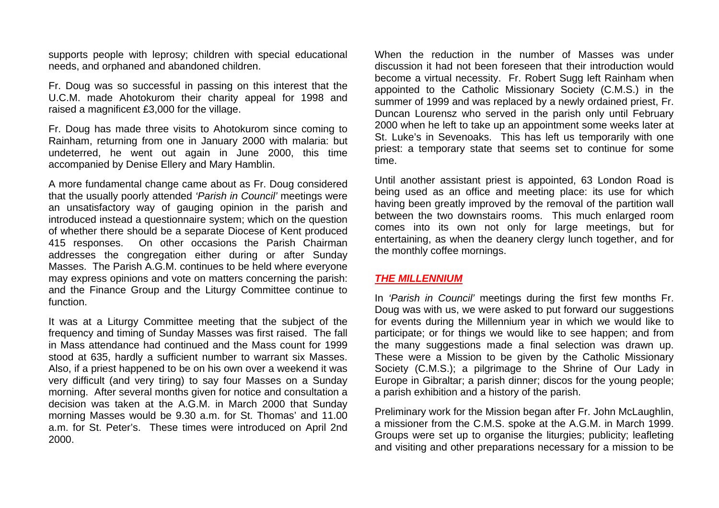supports people with leprosy; children with special educational needs, and orphaned and abandoned children.

Fr. Doug was so successful in passing on this interest that the U.C.M. made Ahotokurom their charity appeal for 1998 and raised a magnificent £3,000 for the village.

Fr. Doug has made three visits to Ahotokurom since coming to Rainham, returning from one in January 2000 with malaria: but undeterred, he went out again in June 2000, this time accompanied by Denise Ellery and Mary Hamblin.

A more fundamental change came about as Fr. Doug considered that the usually poorly attended *'Parish in Council'* meetings were an unsatisfactory way of gauging opinion in the parish and introduced instead a questionnaire system; which on the question of whether there should be a separate Diocese of Kent produced 415 responses. On other occasions the Parish Chairman addresses the congregation either during or after Sunday Masses. The Parish A.G.M. continues to be held where everyone may express opinions and vote on matters concerning the parish: and the Finance Group and the Liturgy Committee continue to function.

It was at a Liturgy Committee meeting that the subject of the frequency and timing of Sunday Masses was first raised. The fall in Mass attendance had continued and the Mass count for 1999 stood at 635, hardly a sufficient number to warrant six Masses. Also, if a priest happened to be on his own over a weekend it was very difficult (and very tiring) to say four Masses on a Sunday morning. After several months given for notice and consultation a decision was taken at the A.G.M. in March 2000 that Sunday morning Masses would be 9.30 a.m. for St. Thomas' and 11.00 a.m. for St. Peter's. These times were introduced on April 2nd 2000.

When the reduction in the number of Masses was under discussion it had not been foreseen that their introduction would become a virtual necessity. Fr. Robert Sugg left Rainham when appointed to the Catholic Missionary Society (C.M.S.) in the summer of 1999 and was replaced by a newly ordained priest, Fr. Duncan Lourensz who served in the parish only until February 2000 when he left to take up an appointment some weeks later at St. Luke's in Sevenoaks. This has left us temporarily with one priest: a temporary state that seems set to continue for some time.

Until another assistant priest is appointed, 63 London Road is being used as an office and meeting place: its use for which having been greatly improved by the removal of the partition wall between the two downstairs rooms. This much enlarged room comes into its own not only for large meetings, but for entertaining, as when the deanery clergy lunch together, and for the monthly coffee mornings.

#### *THE MILLENNIUM*

In *'Parish in Council'* meetings during the first few months Fr. Doug was with us, we were asked to put forward our suggestions for events during the Millennium year in which we would like to participate; or for things we would like to see happen; and from the many suggestions made a final selection was drawn up. These were a Mission to be given by the Catholic Missionary Society (C.M.S.); a pilgrimage to the Shrine of Our Lady in Europe in Gibraltar; a parish dinner; discos for the young people; a parish exhibition and a history of the parish.

Preliminary work for the Mission began after Fr. John McLaughlin, a missioner from the C.M.S. spoke at the A.G.M. in March 1999. Groups were set up to organise the liturgies; publicity; leafleting and visiting and other preparations necessary for a mission to be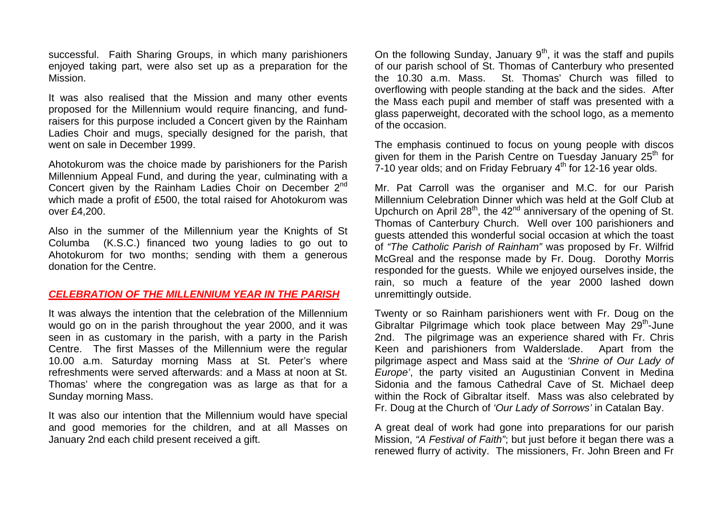successful. Faith Sharing Groups, in which many parishioners enjoyed taking part, were also set up as a preparation for the Mission.

It was also realised that the Mission and many other events proposed for the Millennium would require financing, and fundraisers for this purpose included a Concert given by the Rainham Ladies Choir and mugs, specially designed for the parish, that went on sale in December 1999.

Ahotokurom was the choice made by parishioners for the Parish Millennium Appeal Fund, and during the year, culminating with a Concert given by the Rainham Ladies Choir on December 2<sup>nd</sup> which made a profit of £500, the total raised for Ahotokurom was over £4,200.

Also in the summer of the Millennium year the Knights of St Columba (K.S.C.) financed two young ladies to go out to Ahotokurom for two months; sending with them a generous donation for the Centre.

#### *CELEBRATION OF THE MILLENNIUM YEAR IN THE PARISH*

It was always the intention that the celebration of the Millennium would go on in the parish throughout the year 2000, and it was seen in as customary in the parish, with a party in the Parish Centre. The first Masses of the Millennium were the regular 10.00 a.m. Saturday morning Mass at St. Peter's where refreshments were served afterwards: and a Mass at noon at St. Thomas' where the congregation was as large as that for a Sunday morning Mass.

It was also our intention that the Millennium would have special and good memories for the children, and at all Masses on January 2nd each child present received a gift.

On the following Sunday, January  $9<sup>th</sup>$ , it was the staff and pupils of our parish school of St. Thomas of Canterbury who presented the 10.30 a.m. Mass. St. Thomas' Church was filled to overflowing with people standing at the back and the sides. After the Mass each pupil and member of staff was presented with a glass paperweight, decorated with the school logo, as a memento of the occasion.

The emphasis continued to focus on young people with discos given for them in the Parish Centre on Tuesday January 25<sup>th</sup> for 7-10 year olds; and on Friday February 4<sup>th</sup> for 12-16 year olds.

Mr. Pat Carroll was the organiser and M.C. for our Parish Millennium Celebration Dinner which was held at the Golf Club at Upchurch on April 28<sup>th</sup>, the  $42<sup>nd</sup>$  anniversary of the opening of St. Thomas of Canterbury Church. Well over 100 parishioners and guests attended this wonderful social occasion at which the toast of *"The Catholic Parish of Rainham"* was proposed by Fr. Wilfrid McGreal and the response made by Fr. Doug. Dorothy Morris responded for the guests. While we enjoyed ourselves inside, the rain, so much a feature of the year 2000 lashed down unremittingly outside.

Twenty or so Rainham parishioners went with Fr. Doug on the Gibraltar Pilgrimage which took place between May  $29<sup>th</sup>$ -June 2nd. The pilgrimage was an experience shared with Fr. Chris Keen and parishioners from Walderslade. Apart from the pilgrimage aspect and Mass said at the *'Shrine of Our Lady of Europe'*, the party visited an Augustinian Convent in Medina Sidonia and the famous Cathedral Cave of St. Michael deep within the Rock of Gibraltar itself. Mass was also celebrated by Fr. Doug at the Church of *'Our Lady of Sorrows'* in Catalan Bay.

A great deal of work had gone into preparations for our parish Mission, *"A Festival of Faith"*; but just before it began there was a renewed flurry of activity. The missioners, Fr. John Breen and Fr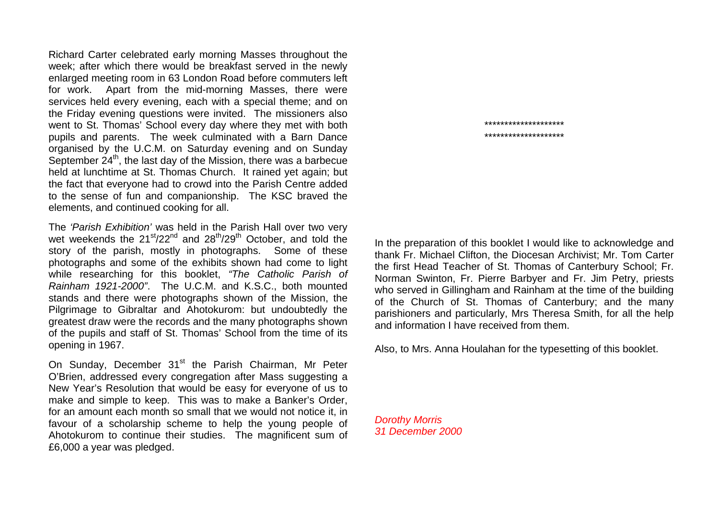Richard Carter celebrated early morning Masses throughout the week; after which there would be breakfast served in the newly enlarged meeting room in 63 London Road before commuters left for work. Apart from the mid-morning Masses, there were services held every evening, each with a special theme; and on the Friday evening questions were invited. The missioners also went to St. Thomas' School every day where they met with both pupils and parents. The week culminated with a Barn Dance organised by the U.C.M. on Saturday evening and on Sunday September  $24<sup>th</sup>$ , the last day of the Mission, there was a barbecue held at lunchtime at St. Thomas Church. It rained yet again; but the fact that everyone had to crowd into the Parish Centre added to the sense of fun and companionship. The KSC braved the elements, and continued cooking for all.

The *'Parish Exhibition'* was held in the Parish Hall over two very wet weekends the 21<sup>st</sup>/22<sup>nd</sup> and 28<sup>th</sup>/29<sup>th</sup> October, and told the story of the parish, mostly in photographs. Some of these photographs and some of the exhibits shown had come to light while researching for this booklet, *"The Catholic Parish of Rainham 1921-2000"*. The U.C.M. and K.S.C., both mounted stands and there were photographs shown of the Mission, the Pilgrimage to Gibraltar and Ahotokurom: but undoubtedly the greatest draw were the records and the many photographs shown of the pupils and staff of St. Thomas' School from the time of its opening in 1967.

On Sunday, December 31<sup>st</sup> the Parish Chairman, Mr Peter O'Brien, addressed every congregation after Mass suggesting a New Year's Resolution that would be easy for everyone of us to make and simple to keep. This was to make a Banker's Order, for an amount each month so small that we would not notice it, in favour of a scholarship scheme to help the young people of Ahotokurom to continue their studies. The magnificent sum of £6,000 a year was pledged.

\*\*\*\*\*\*\*\*\*\*\*\*\*\*\*\*\*\*\*\* \*\*\*\*\*\*\*\*\*\*\*\*\*\*\*\*\*\*\*\*

In the preparation of this booklet I would like to acknowledge and thank Fr. Michael Clifton, the Diocesan Archivist; Mr. Tom Carter the first Head Teacher of St. Thomas of Canterbury School; Fr. Norman Swinton, Fr. Pierre Barbyer and Fr. Jim Petry, priests who served in Gillingham and Rainham at the time of the building of the Church of St. Thomas of Canterbury; and the many parishioners and particularly, Mrs Theresa Smith, for all the help and information I have received from them.

Also, to Mrs. Anna Houlahan for the typesetting of this booklet.

*Dorothy Morris 31 December 2000*